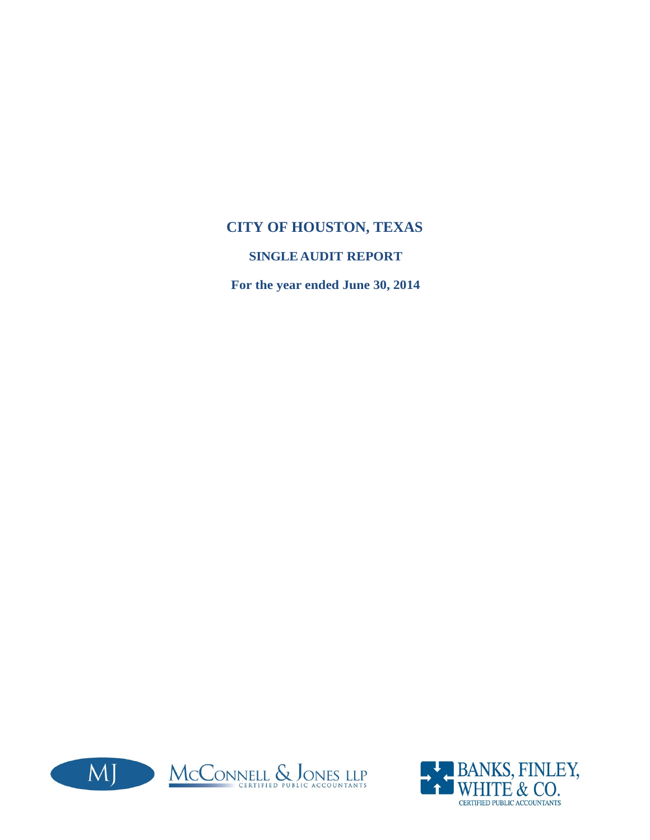### **CITY OF HOUSTON, TEXAS**

### **SINGLEAUDIT REPORT**

**For the year ended June 30, 2014**



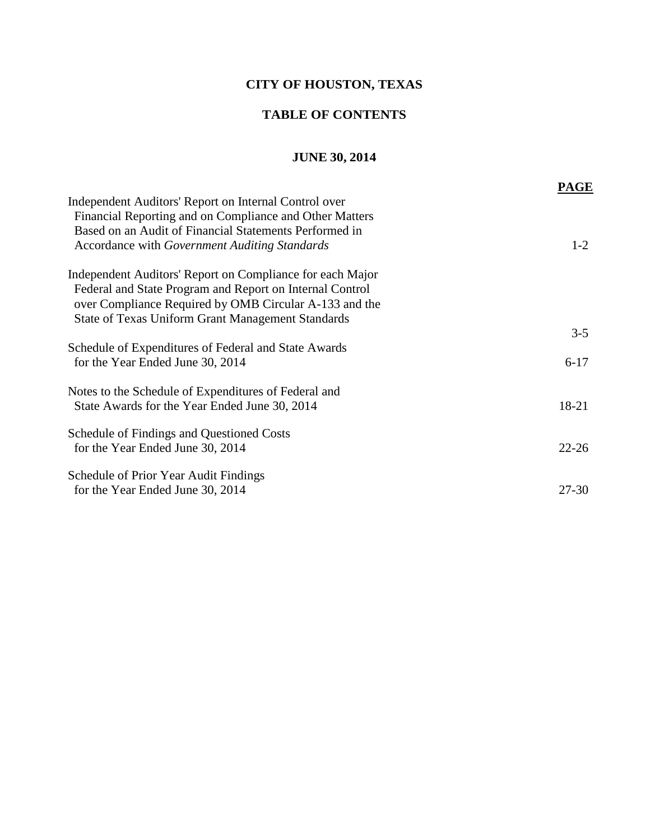### **CITY OF HOUSTON, TEXAS**

### **TABLE OF CONTENTS**

### **JUNE 30, 2014**

|                                                                                                                                                                                                                                             | PAGE      |
|---------------------------------------------------------------------------------------------------------------------------------------------------------------------------------------------------------------------------------------------|-----------|
| Independent Auditors' Report on Internal Control over<br>Financial Reporting and on Compliance and Other Matters<br>Based on an Audit of Financial Statements Performed in<br>Accordance with Government Auditing Standards                 | $1-2$     |
| Independent Auditors' Report on Compliance for each Major<br>Federal and State Program and Report on Internal Control<br>over Compliance Required by OMB Circular A-133 and the<br><b>State of Texas Uniform Grant Management Standards</b> |           |
|                                                                                                                                                                                                                                             | $3 - 5$   |
| Schedule of Expenditures of Federal and State Awards<br>for the Year Ended June 30, 2014                                                                                                                                                    | $6 - 17$  |
| Notes to the Schedule of Expenditures of Federal and<br>State Awards for the Year Ended June 30, 2014                                                                                                                                       | 18-21     |
| <b>Schedule of Findings and Questioned Costs</b><br>for the Year Ended June 30, 2014                                                                                                                                                        | $22 - 26$ |
| Schedule of Prior Year Audit Findings<br>for the Year Ended June 30, 2014                                                                                                                                                                   | 27-30     |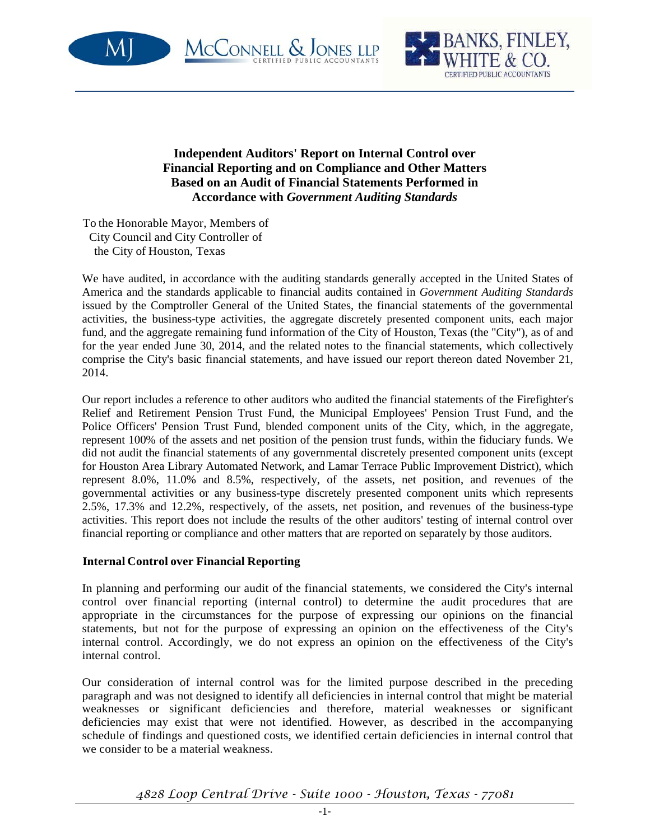





**Independent Auditors' Report on Internal Control over Financial Reporting and on Compliance and Other Matters Based on an Audit of Financial Statements Performed in Accordance with** *Government Auditing Standards*

To the Honorable Mayor, Members of City Council and City Controller of the City of Houston, Texas

We have audited, in accordance with the auditing standards generally accepted in the United States of America and the standards applicable to financial audits contained in *Government Auditing Standards* issued by the Comptroller General of the United States, the financial statements of the governmental activities, the business-type activities, the aggregate discretely presented component units, each major fund, and the aggregate remaining fund information of the City of Houston, Texas (the "City"), as of and for the year ended June 30, 2014, and the related notes to the financial statements, which collectively comprise the City's basic financial statements, and have issued our report thereon dated November 21, 2014.

Our report includes a reference to other auditors who audited the financial statements of the Firefighter's Relief and Retirement Pension Trust Fund, the Municipal Employees' Pension Trust Fund, and the Police Officers' Pension Trust Fund, blended component units of the City, which, in the aggregate, represent 100% of the assets and net position of the pension trust funds, within the fiduciary funds. We did not audit the financial statements of any governmental discretely presented component units (except for Houston Area Library Automated Network, and Lamar Terrace Public Improvement District), which represent 8.0%, 11.0% and 8.5%, respectively, of the assets, net position, and revenues of the governmental activities or any business-type discretely presented component units which represents 2.5%, 17.3% and 12.2%, respectively, of the assets, net position, and revenues of the business-type activities. This report does not include the results of the other auditors' testing of internal control over financial reporting or compliance and other matters that are reported on separately by those auditors.

#### **Internal Control over Financial Reporting**

In planning and performing our audit of the financial statements, we considered the City's internal control over financial reporting (internal control) to determine the audit procedures that are appropriate in the circumstances for the purpose of expressing our opinions on the financial statements, but not for the purpose of expressing an opinion on the effectiveness of the City's internal control. Accordingly, we do not express an opinion on the effectiveness of the City's internal control.

Our consideration of internal control was for the limited purpose described in the preceding paragraph and was not designed to identify all deficiencies in internal control that might be material weaknesses or significant deficiencies and therefore, material weaknesses or significant deficiencies may exist that were not identified. However, as described in the accompanying schedule of findings and questioned costs, we identified certain deficiencies in internal control that we consider to be a material weakness.

### *4828 Loop Central Drive - Suite 1000 - Houston, Texas - 77081*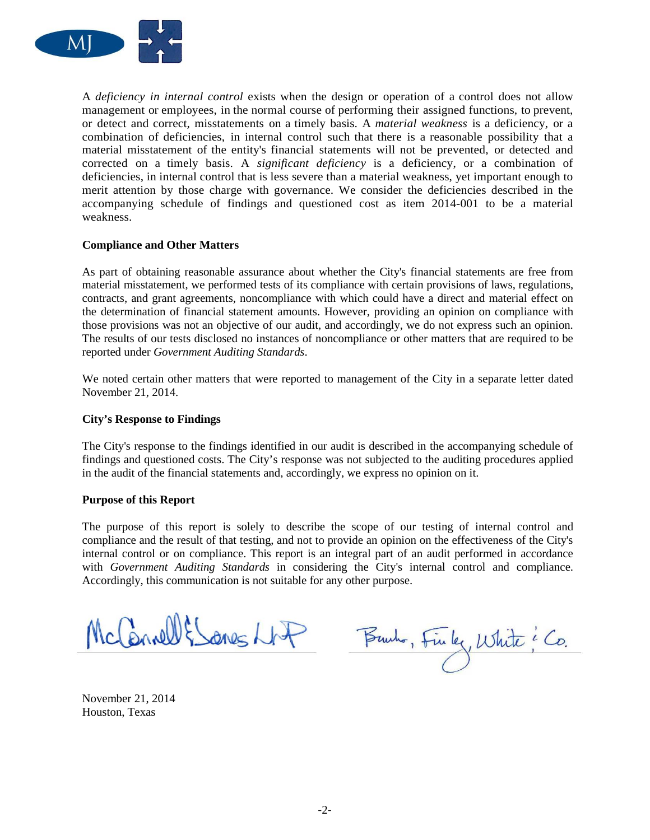

A *deficiency in internal control* exists when the design or operation of a control does not allow management or employees, in the normal course of performing their assigned functions, to prevent, or detect and correct, misstatements on a timely basis. A *material weakness* is a deficiency, or a combination of deficiencies, in internal control such that there is a reasonable possibility that a material misstatement of the entity's financial statements will not be prevented, or detected and corrected on a timely basis. A *significant deficiency* is a deficiency, or a combination of deficiencies, in internal control that is less severe than a material weakness, yet important enough to merit attention by those charge with governance. We consider the deficiencies described in the accompanying schedule of findings and questioned cost as item 2014-001 to be a material weakness.

#### **Compliance and Other Matters**

As part of obtaining reasonable assurance about whether the City's financial statements are free from material misstatement, we performed tests of its compliance with certain provisions of laws, regulations, contracts, and grant agreements, noncompliance with which could have a direct and material effect on the determination of financial statement amounts. However, providing an opinion on compliance with those provisions was not an objective of our audit, and accordingly, we do not express such an opinion. The results of our tests disclosed no instances of noncompliance or other matters that are required to be reported under *Government Auditing Standards*.

We noted certain other matters that were reported to management of the City in a separate letter dated November 21, 2014.

#### **City's Response to Findings**

The City's response to the findings identified in our audit is described in the accompanying schedule of findings and questioned costs. The City's response was not subjected to the auditing procedures applied in the audit of the financial statements and, accordingly, we express no opinion on it.

#### **Purpose of this Report**

The purpose of this report is solely to describe the scope of our testing of internal control and compliance and the result of that testing, and not to provide an opinion on the effectiveness of the City's internal control or on compliance. This report is an integral part of an audit performed in accordance with *Government Auditing Standards* in considering the City's internal control and compliance. Accordingly, this communication is not suitable for any other purpose.

McCannell & Sanes Lit

Burho, Finley, White i Co.

November 21, 2014 Houston, Texas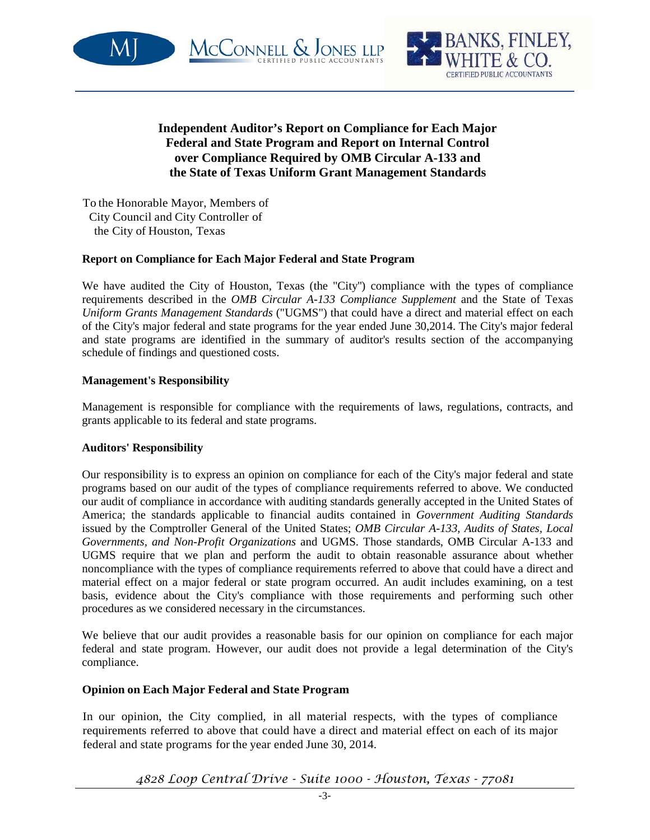



### **Independent Auditor's Report on Compliance for Each Major Federal and State Program and Report on Internal Control over Compliance Required by OMB Circular A-133 and the State of Texas Uniform Grant Management Standards**

MCCONNELL & JONES LLP

To the Honorable Mayor, Members of City Council and City Controller of the City of Houston, Texas

#### **Report on Compliance for Each Major Federal and State Program**

We have audited the City of Houston, Texas (the "City'') compliance with the types of compliance requirements described in the *OMB Circular A-133 Compliance Supplement* and the State of Texas *Uniform Grants Management Standards* ("UGMS") that could have a direct and material effect on each of the City's major federal and state programs for the year ended June 30,2014. The City's major federal and state programs are identified in the summary of auditor's results section of the accompanying schedule of findings and questioned costs.

#### **Management's Responsibility**

Management is responsible for compliance with the requirements of laws, regulations, contracts, and grants applicable to its federal and state programs.

#### **Auditors' Responsibility**

Our responsibility is to express an opinion on compliance for each of the City's major federal and state programs based on our audit of the types of compliance requirements referred to above. We conducted our audit of compliance in accordance with auditing standards generally accepted in the United States of America; the standards applicable to financial audits contained in *Government Auditing Standards* issued by the Comptroller General of the United States; *OMB Circular A-133, Audits of States, Local Governments, and Non-Profit Organizations* and UGMS. Those standards, OMB Circular A-133 and UGMS require that we plan and perform the audit to obtain reasonable assurance about whether noncompliance with the types of compliance requirements referred to above that could have a direct and material effect on a major federal or state program occurred. An audit includes examining, on a test basis, evidence about the City's compliance with those requirements and performing such other procedures as we considered necessary in the circumstances.

We believe that our audit provides a reasonable basis for our opinion on compliance for each major federal and state program. However, our audit does not provide a legal determination of the City's compliance.

### **Opinion on Each Major Federal and State Program**

In our opinion, the City complied, in all material respects, with the types of compliance requirements referred to above that could have a direct and material effect on each of its major federal and state programs for the year ended June 30, 2014.

*4828 Loop Central Drive - Suite 1000 - Houston, Texas - 77081*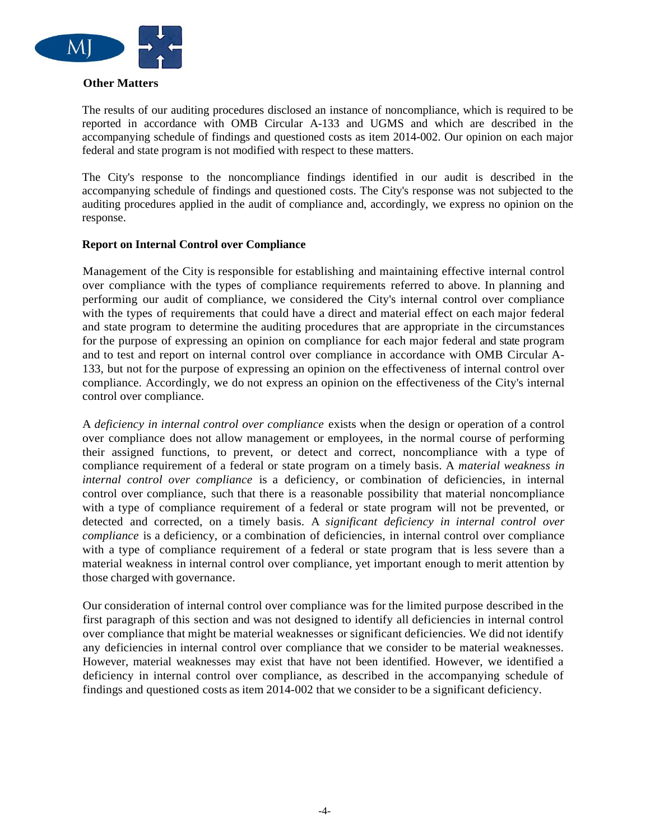

#### **Other Matters**

The results of our auditing procedures disclosed an instance of noncompliance, which is required to be reported in accordance with OMB Circular A-133 and UGMS and which are described in the accompanying schedule of findings and questioned costs as item 2014-002. Our opinion on each major federal and state program is not modified with respect to these matters.

The City's response to the noncompliance findings identified in our audit is described in the accompanying schedule of findings and questioned costs. The City's response was not subjected to the auditing procedures applied in the audit of compliance and, accordingly, we express no opinion on the response.

#### **Report on Internal Control over Compliance**

Management of the City is responsible for establishing and maintaining effective internal control over compliance with the types of compliance requirements referred to above. In planning and performing our audit of compliance, we considered the City's internal control over compliance with the types of requirements that could have a direct and material effect on each major federal and state program to determine the auditing procedures that are appropriate in the circumstances for the purpose of expressing an opinion on compliance for each major federal and state program and to test and report on internal control over compliance in accordance with OMB Circular A-133, but not for the purpose of expressing an opinion on the effectiveness of internal control over compliance. Accordingly, we do not express an opinion on the effectiveness of the City's internal control over compliance.

A *deficiency in internal control over compliance* exists when the design or operation of a control over compliance does not allow management or employees, in the normal course of performing their assigned functions, to prevent, or detect and correct, noncompliance with a type of compliance requirement of a federal or state program on a timely basis. A *material weakness in internal control over compliance* is a deficiency, or combination of deficiencies, in internal control over compliance, such that there is a reasonable possibility that material noncompliance with a type of compliance requirement of a federal or state program will not be prevented, or detected and corrected, on a timely basis. A *significant deficiency in internal control over compliance* is a deficiency, or a combination of deficiencies, in internal control over compliance with a type of compliance requirement of a federal or state program that is less severe than a material weakness in internal control over compliance, yet important enough to merit attention by those charged with governance.

Our consideration of internal control over compliance was for the limited purpose described in the first paragraph of this section and was not designed to identify all deficiencies in internal control over compliance that might be material weaknesses or significant deficiencies. We did not identify any deficiencies in internal control over compliance that we consider to be material weaknesses. However, material weaknesses may exist that have not been identified. However, we identified a deficiency in internal control over compliance, as described in the accompanying schedule of findings and questioned costs as item 2014-002 that we consider to be a significant deficiency.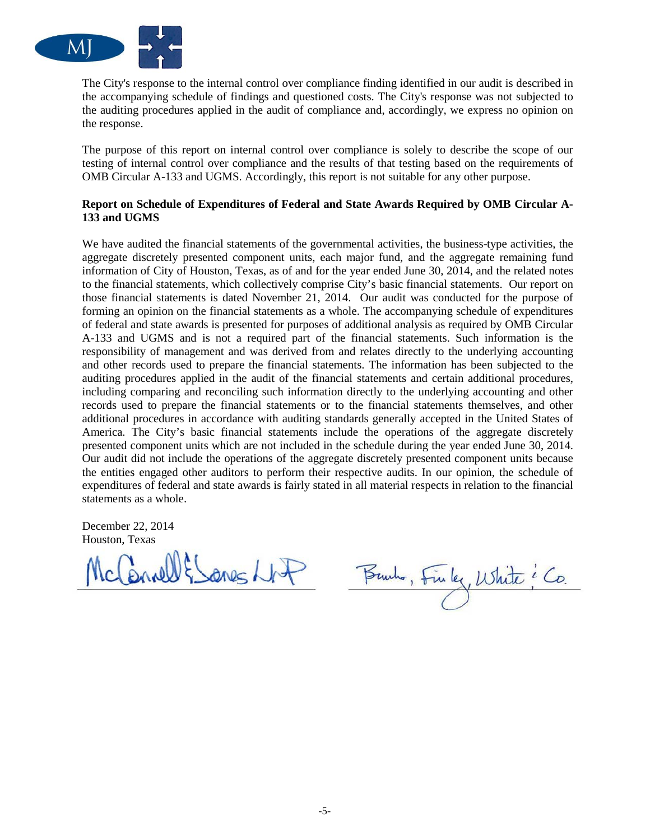

The City's response to the internal control over compliance finding identified in our audit is described in the accompanying schedule of findings and questioned costs. The City's response was not subjected to the auditing procedures applied in the audit of compliance and, accordingly, we express no opinion on the response.

The purpose of this report on internal control over compliance is solely to describe the scope of our testing of internal control over compliance and the results of that testing based on the requirements of OMB Circular A-133 and UGMS. Accordingly, this report is not suitable for any other purpose.

#### **Report on Schedule of Expenditures of Federal and State Awards Required by OMB Circular A-133 and UGMS**

We have audited the financial statements of the governmental activities, the business-type activities, the aggregate discretely presented component units, each major fund, and the aggregate remaining fund information of City of Houston, Texas, as of and for the year ended June 30, 2014, and the related notes to the financial statements, which collectively comprise City's basic financial statements. Our report on those financial statements is dated November 21, 2014. Our audit was conducted for the purpose of forming an opinion on the financial statements as a whole. The accompanying schedule of expenditures of federal and state awards is presented for purposes of additional analysis as required by OMB Circular A-133 and UGMS and is not a required part of the financial statements. Such information is the responsibility of management and was derived from and relates directly to the underlying accounting and other records used to prepare the financial statements. The information has been subjected to the auditing procedures applied in the audit of the financial statements and certain additional procedures, including comparing and reconciling such information directly to the underlying accounting and other records used to prepare the financial statements or to the financial statements themselves, and other additional procedures in accordance with auditing standards generally accepted in the United States of America. The City's basic financial statements include the operations of the aggregate discretely presented component units which are not included in the schedule during the year ended June 30, 2014. Our audit did not include the operations of the aggregate discretely presented component units because the entities engaged other auditors to perform their respective audits. In our opinion, the schedule of expenditures of federal and state awards is fairly stated in all material respects in relation to the financial statements as a whole.

December 22, 2014 Houston, Texas

Briell & Sanes Lfo

Burho, Finley, White : Co.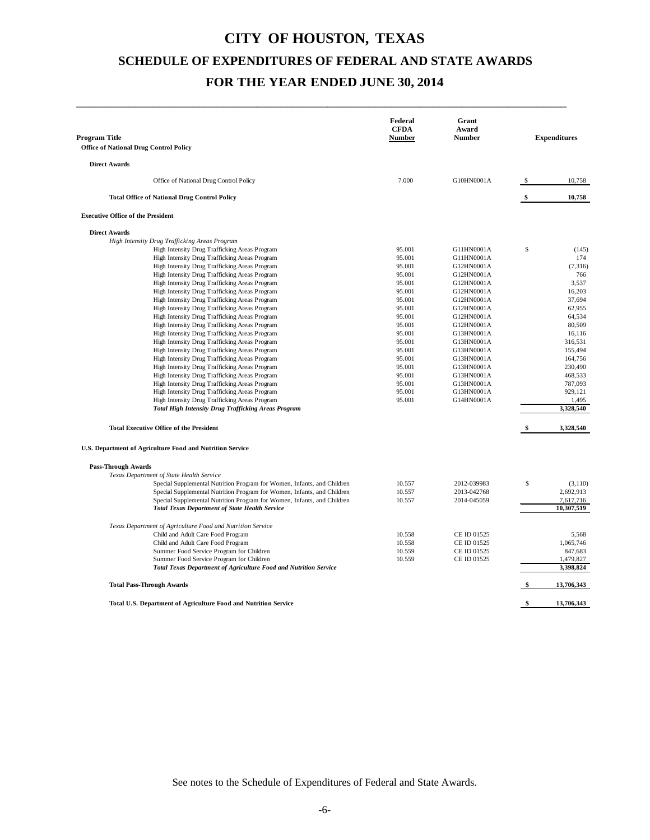\_\_\_\_\_\_\_\_\_\_\_\_\_\_\_\_\_\_\_\_\_\_\_\_\_\_\_\_\_\_\_\_\_\_\_\_\_\_\_\_\_\_\_\_\_\_\_\_\_\_\_\_\_\_\_\_\_\_\_\_\_\_\_\_\_\_\_\_\_\_\_\_\_\_\_\_\_\_\_\_\_\_\_\_

| Program Title<br><b>Office of National Drug Control Policy</b>                                 | Federal<br><b>CFDA</b><br>Number | Grant<br>Award<br><b>Number</b> |      | <b>Expenditures</b> |
|------------------------------------------------------------------------------------------------|----------------------------------|---------------------------------|------|---------------------|
| <b>Direct Awards</b>                                                                           |                                  |                                 |      |                     |
| Office of National Drug Control Policy                                                         | 7.000                            | G10HN0001A                      | \$   | 10,758              |
| <b>Total Office of National Drug Control Policy</b>                                            |                                  |                                 | \$   | 10,758              |
| <b>Executive Office of the President</b>                                                       |                                  |                                 |      |                     |
| <b>Direct Awards</b>                                                                           |                                  |                                 |      |                     |
| High Intensity Drug Trafficking Areas Program                                                  |                                  |                                 |      |                     |
| High Intensity Drug Trafficking Areas Program                                                  | 95.001                           | G11HN0001A                      | \$   | (145)               |
| High Intensity Drug Trafficking Areas Program                                                  | 95.001                           | G11HN0001A                      |      | 174                 |
| High Intensity Drug Trafficking Areas Program                                                  | 95.001                           | G12HN0001A                      |      | (7, 316)            |
| High Intensity Drug Trafficking Areas Program                                                  | 95.001                           | G12HN0001A                      |      | 766                 |
| High Intensity Drug Trafficking Areas Program                                                  | 95.001                           | G12HN0001A                      |      | 3,537               |
| High Intensity Drug Trafficking Areas Program                                                  | 95.001                           | G12HN0001A                      |      | 16,203              |
| High Intensity Drug Trafficking Areas Program<br>High Intensity Drug Trafficking Areas Program | 95.001<br>95.001                 | G12HN0001A<br>G12HN0001A        |      | 37,694<br>62,955    |
| High Intensity Drug Trafficking Areas Program                                                  | 95.001                           | G12HN0001A                      |      | 64,534              |
| High Intensity Drug Trafficking Areas Program                                                  | 95.001                           | G12HN0001A                      |      | 80,509              |
| High Intensity Drug Trafficking Areas Program                                                  | 95.001                           | G13HN0001A                      |      | 16,116              |
| High Intensity Drug Trafficking Areas Program                                                  | 95.001                           | G13HN0001A                      |      | 316,531             |
| High Intensity Drug Trafficking Areas Program                                                  | 95.001                           | G13HN0001A                      |      | 155,494             |
| High Intensity Drug Trafficking Areas Program                                                  | 95.001                           | G13HN0001A                      |      | 164,756             |
| High Intensity Drug Trafficking Areas Program                                                  | 95.001                           | G13HN0001A                      |      | 230,490             |
| High Intensity Drug Trafficking Areas Program                                                  | 95.001                           | G13HN0001A                      |      | 468,533             |
| High Intensity Drug Trafficking Areas Program                                                  | 95.001                           | G13HN0001A                      |      | 787,093             |
| High Intensity Drug Trafficking Areas Program                                                  | 95.001                           | G13HN0001A                      |      | 929,121             |
| High Intensity Drug Trafficking Areas Program                                                  | 95.001                           | G14HN0001A                      |      | 1,495               |
| <b>Total High Intensity Drug Trafficking Areas Program</b>                                     |                                  |                                 |      | 3,328,540           |
| <b>Total Executive Office of the President</b>                                                 |                                  |                                 |      | 3,328,540           |
| U.S. Department of Agriculture Food and Nutrition Service                                      |                                  |                                 |      |                     |
| <b>Pass-Through Awards</b>                                                                     |                                  |                                 |      |                     |
| Texas Department of State Health Service                                                       |                                  |                                 |      |                     |
| Special Supplemental Nutrition Program for Women, Infants, and Children                        | 10.557                           | 2012-039983                     | \$   | (3, 110)            |
| Special Supplemental Nutrition Program for Women, Infants, and Children                        | 10.557                           | 2013-042768                     |      | 2,692,913           |
| Special Supplemental Nutrition Program for Women, Infants, and Children                        | 10.557                           | 2014-045059                     |      | 7,617,716           |
| <b>Total Texas Department of State Health Service</b>                                          |                                  |                                 |      | 10,307,519          |
| Texas Department of Agriculture Food and Nutrition Service                                     |                                  |                                 |      |                     |
| Child and Adult Care Food Program                                                              | 10.558<br>10.558                 | CE ID 01525                     |      | 5,568<br>1,065,746  |
| Child and Adult Care Food Program<br>Summer Food Service Program for Children                  | 10.559                           | CE ID 01525<br>CE ID 01525      |      | 847,683             |
| Summer Food Service Program for Children                                                       | 10.559                           | CE ID 01525                     |      | 1,479,827           |
| Total Texas Department of Agriculture Food and Nutrition Service                               |                                  |                                 |      | 3,398,824           |
| <b>Total Pass-Through Awards</b>                                                               |                                  |                                 |      | 13,706,343          |
| Total U.S. Department of Agriculture Food and Nutrition Service                                |                                  |                                 | - \$ | 13,706,343          |
|                                                                                                |                                  |                                 |      |                     |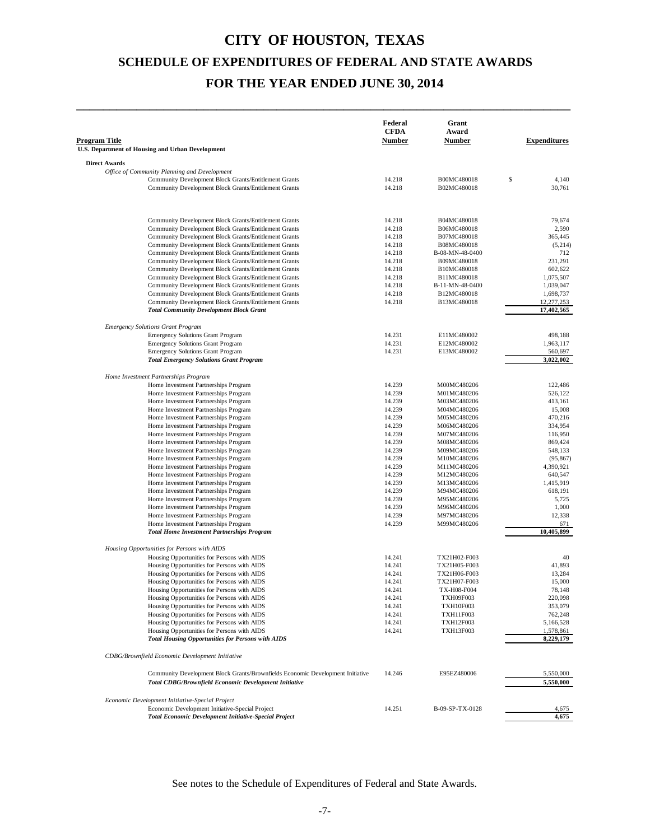**\_\_\_\_\_\_\_\_\_\_\_\_\_\_\_\_\_\_\_\_\_\_\_\_\_\_\_\_\_\_\_\_\_\_\_\_\_\_\_\_\_\_\_\_\_\_\_\_\_\_\_\_\_\_\_\_\_\_\_\_\_\_\_\_\_\_\_\_\_\_\_\_\_\_**

| <b>Program Title</b> | U.S. Department of Housing and Urban Development                                                               | Federal<br><b>CFDA</b><br><b>Number</b> | Grant<br>Award<br><b>Number</b>      | <b>Expenditures</b>  |
|----------------------|----------------------------------------------------------------------------------------------------------------|-----------------------------------------|--------------------------------------|----------------------|
|                      |                                                                                                                |                                         |                                      |                      |
| <b>Direct Awards</b> | Office of Community Planning and Development                                                                   |                                         |                                      |                      |
|                      | Community Development Block Grants/Entitlement Grants                                                          | 14.218                                  | B00MC480018                          | \$<br>4,140          |
|                      | Community Development Block Grants/Entitlement Grants                                                          | 14.218                                  | B02MC480018                          | 30,761               |
|                      |                                                                                                                |                                         |                                      |                      |
|                      | Community Development Block Grants/Entitlement Grants                                                          | 14.218                                  | B04MC480018                          | 79,674               |
|                      | Community Development Block Grants/Entitlement Grants                                                          | 14.218                                  | B06MC480018                          | 2,590                |
|                      | Community Development Block Grants/Entitlement Grants                                                          | 14.218                                  | B07MC480018                          | 365,445              |
|                      | Community Development Block Grants/Entitlement Grants                                                          | 14.218                                  | B08MC480018                          | (5,214)              |
|                      | Community Development Block Grants/Entitlement Grants                                                          | 14.218                                  | B-08-MN-48-0400                      | 712                  |
|                      | Community Development Block Grants/Entitlement Grants<br>Community Development Block Grants/Entitlement Grants | 14.218<br>14.218                        | B09MC480018<br>B10MC480018           | 231,291<br>602,622   |
|                      | Community Development Block Grants/Entitlement Grants                                                          | 14.218                                  | B11MC480018                          | 1,075,507            |
|                      | Community Development Block Grants/Entitlement Grants                                                          | 14.218                                  | B-11-MN-48-0400                      | 1,039,047            |
|                      | Community Development Block Grants/Entitlement Grants                                                          | 14.218                                  | B12MC480018                          | 1,698,737            |
|                      | Community Development Block Grants/Entitlement Grants                                                          | 14.218                                  | B13MC480018                          | 12,277,253           |
|                      | <b>Total Community Development Block Grant</b>                                                                 |                                         |                                      | 17,402,565           |
|                      | <b>Emergency Solutions Grant Program</b>                                                                       |                                         |                                      |                      |
|                      | <b>Emergency Solutions Grant Program</b>                                                                       | 14.231                                  | E11MC480002                          | 498,188              |
|                      | <b>Emergency Solutions Grant Program</b><br><b>Emergency Solutions Grant Program</b>                           | 14.231<br>14.231                        | E12MC480002<br>E13MC480002           | 1,963,117<br>560,697 |
|                      | <b>Total Emergency Solutions Grant Program</b>                                                                 |                                         |                                      | 3,022,002            |
|                      |                                                                                                                |                                         |                                      |                      |
|                      | Home Investment Partnerships Program                                                                           |                                         |                                      |                      |
|                      | Home Investment Partnerships Program                                                                           | 14.239                                  | M00MC480206                          | 122,486<br>526,122   |
|                      | Home Investment Partnerships Program<br>Home Investment Partnerships Program                                   | 14.239<br>14.239                        | M01MC480206<br>M03MC480206           | 413,161              |
|                      | Home Investment Partnerships Program                                                                           | 14.239                                  | M04MC480206                          | 15,008               |
|                      | Home Investment Partnerships Program                                                                           | 14.239                                  | M05MC480206                          | 470,216              |
|                      | Home Investment Partnerships Program                                                                           | 14.239                                  | M06MC480206                          | 334,954              |
|                      | Home Investment Partnerships Program                                                                           | 14.239                                  | M07MC480206                          | 116,950              |
|                      | Home Investment Partnerships Program                                                                           | 14.239                                  | M08MC480206                          | 869,424              |
|                      | Home Investment Partnerships Program                                                                           | 14.239                                  | M09MC480206                          | 548,133              |
|                      | Home Investment Partnerships Program                                                                           | 14.239                                  | M10MC480206                          | (95, 867)            |
|                      | Home Investment Partnerships Program                                                                           | 14.239                                  | M11MC480206                          | 4,390,921            |
|                      | Home Investment Partnerships Program                                                                           | 14.239                                  | M12MC480206                          | 640,547              |
|                      | Home Investment Partnerships Program                                                                           | 14.239                                  | M13MC480206                          | 1,415,919            |
|                      | Home Investment Partnerships Program<br>Home Investment Partnerships Program                                   | 14.239<br>14.239                        | M94MC480206<br>M95MC480206           | 618,191<br>5,725     |
|                      | Home Investment Partnerships Program                                                                           | 14.239                                  | M96MC480206                          | 1,000                |
|                      | Home Investment Partnerships Program                                                                           | 14.239                                  | M97MC480206                          | 12,338               |
|                      | Home Investment Partnerships Program                                                                           | 14.239                                  | M99MC480206                          | 671                  |
|                      | <b>Total Home Investment Partnerships Program</b>                                                              |                                         |                                      | 10,405,899           |
|                      | Housing Opportunities for Persons with AIDS                                                                    |                                         |                                      |                      |
|                      | Housing Opportunities for Persons with AIDS                                                                    | 14.241                                  | TX21H02-F003                         | 40                   |
|                      | Housing Opportunities for Persons with AIDS                                                                    | 14.241                                  | TX21H05-F003                         | 41,893               |
|                      | Housing Opportunities for Persons with AIDS                                                                    | 14.241                                  | TX21H06-F003                         | 13,284               |
|                      | Housing Opportunities for Persons with AIDS                                                                    | 14.241                                  | TX21H07-F003                         | 15,000               |
|                      | Housing Opportunities for Persons with AIDS                                                                    | 14.241                                  | TX-H08-F004                          | 78,148               |
|                      | Housing Opportunities for Persons with AIDS<br>Housing Opportunities for Persons with AIDS                     | 14.241<br>14.241                        | <b>TXH09F003</b><br><b>TXH10F003</b> | 220,098<br>353,079   |
|                      | Housing Opportunities for Persons with AIDS                                                                    | 14.241                                  | TXH11F003                            | 762,248              |
|                      | Housing Opportunities for Persons with AIDS                                                                    | 14.241                                  | <b>TXH12F003</b>                     | 5,166,528            |
|                      | Housing Opportunities for Persons with AIDS                                                                    | 14.241                                  | TXH13F003                            | 1,578,861            |
|                      | <b>Total Housing Opportunities for Persons with AIDS</b>                                                       |                                         |                                      | 8,229,179            |
|                      | CDBG/Brownfield Economic Development Initiative                                                                |                                         |                                      |                      |
|                      | Community Development Block Grants/Brownfields Economic Development Initiative                                 | 14.246                                  | E95EZ480006                          | 5,550,000            |
|                      | <b>Total CDBG/Brownfield Economic Development Initiative</b>                                                   |                                         |                                      | 5,550,000            |
|                      | Economic Development Initiative-Special Project                                                                |                                         |                                      |                      |
|                      | Economic Development Initiative-Special Project                                                                | 14.251                                  | B-09-SP-TX-0128                      | 4,675                |
|                      | <b>Total Economic Development Initiative-Special Project</b>                                                   |                                         |                                      | 4,675                |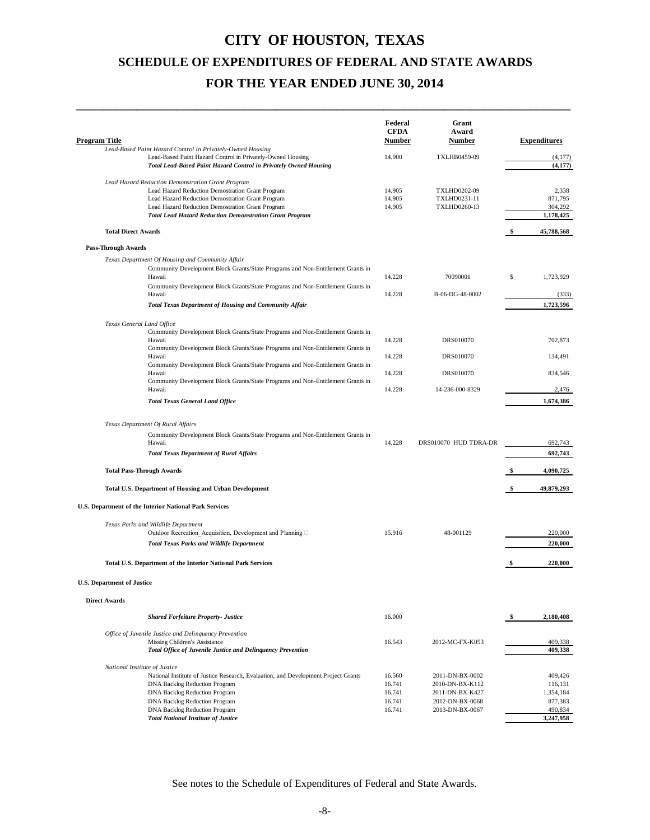**\_\_\_\_\_\_\_\_\_\_\_\_\_\_\_\_\_\_\_\_\_\_\_\_\_\_\_\_\_\_\_\_\_\_\_\_\_\_\_\_\_\_\_\_\_\_\_\_\_\_\_\_\_\_\_\_\_\_\_\_\_\_\_\_\_\_\_\_\_\_\_\_\_\_**

| <b>Program Title</b>              |                                                                                                                                                                                                                                                                                                                                   | Federal<br><b>CFDA</b><br>Number               | Grant<br>Award<br>Number                                                                    | <b>Expenditures</b>                                                |
|-----------------------------------|-----------------------------------------------------------------------------------------------------------------------------------------------------------------------------------------------------------------------------------------------------------------------------------------------------------------------------------|------------------------------------------------|---------------------------------------------------------------------------------------------|--------------------------------------------------------------------|
|                                   | Lead-Based Paint Hazard Control in Privately-Owned Housing<br>Lead-Based Paint Hazard Control in Privately-Owned Housing<br>Total Lead-Based Paint Hazard Control in Privately Owned Housing                                                                                                                                      | 14.900                                         | TXLHB0459-09                                                                                | (4, 177)<br>(4, 177)                                               |
|                                   | Lead Hazard Reduction Demonstration Grant Program<br>Lead Hazard Reduction Demostration Grant Program<br>Lead Hazard Reduction Demostration Grant Program<br>Lead Hazard Reduction Demostration Grant Program<br><b>Total Lead Hazard Reduction Demonstration Grant Program</b>                                                   | 14.905<br>14.905<br>14.905                     | <b>TXLHD0202-09</b><br>TXLHD0231-11<br>TXLHD0260-13                                         | 2,338<br>871,795<br>304,292<br>1,178,425                           |
|                                   | <b>Total Direct Awards</b>                                                                                                                                                                                                                                                                                                        |                                                |                                                                                             | \$<br>45,788,568                                                   |
| <b>Pass-Through Awards</b>        |                                                                                                                                                                                                                                                                                                                                   |                                                |                                                                                             |                                                                    |
|                                   | Texas Department Of Housing and Community Affair<br>Community Development Block Grants/State Programs and Non-Entitlement Grants in<br>Hawaii                                                                                                                                                                                     | 14.228                                         | 70090001                                                                                    | \$<br>1,723,929                                                    |
|                                   | Community Development Block Grants/State Programs and Non-Entitlement Grants in<br>Hawaii                                                                                                                                                                                                                                         | 14.228                                         | B-06-DG-48-0002                                                                             | (333)                                                              |
|                                   | <b>Total Texas Department of Housing and Community Affair</b>                                                                                                                                                                                                                                                                     |                                                |                                                                                             | 1,723,596                                                          |
|                                   | Texas General Land Office<br>Community Development Block Grants/State Programs and Non-Entitlement Grants in<br>Hawaii<br>Community Development Block Grants/State Programs and Non-Entitlement Grants in                                                                                                                         | 14.228                                         | DRS010070                                                                                   | 702.873                                                            |
|                                   | Hawaii<br>Community Development Block Grants/State Programs and Non-Entitlement Grants in                                                                                                                                                                                                                                         | 14.228                                         | DRS010070                                                                                   | 134,491                                                            |
|                                   | Hawaii<br>Community Development Block Grants/State Programs and Non-Entitlement Grants in                                                                                                                                                                                                                                         | 14.228                                         | DRS010070                                                                                   | 834,546                                                            |
|                                   | Hawaii                                                                                                                                                                                                                                                                                                                            | 14.228                                         | 14-236-000-8329                                                                             | 2,476                                                              |
|                                   | <b>Total Texas General Land Office</b>                                                                                                                                                                                                                                                                                            |                                                |                                                                                             | 1,674,386                                                          |
|                                   | Texas Department Of Rural Affairs<br>Community Development Block Grants/State Programs and Non-Entitlement Grants in<br>Hawaii<br><b>Total Texas Department of Rural Affairs</b>                                                                                                                                                  | 14.228                                         | DRS010070 HUD TDRA-DR                                                                       | 692,743<br>692,743                                                 |
|                                   | <b>Total Pass-Through Awards</b>                                                                                                                                                                                                                                                                                                  |                                                |                                                                                             | \$<br>4,090,725                                                    |
|                                   | Total U.S. Department of Housing and Urban Development                                                                                                                                                                                                                                                                            |                                                |                                                                                             | \$<br>49,879,293                                                   |
|                                   | U.S. Department of the Interior National Park Services                                                                                                                                                                                                                                                                            |                                                |                                                                                             |                                                                    |
|                                   | Texas Parks and Wildlife Department<br>Outdoor Recreation Acquisition, Development and Planning □<br><b>Total Texas Parks and Wildlife Department</b>                                                                                                                                                                             | 15.916                                         | 48-001129                                                                                   | 220,000<br>220,000                                                 |
|                                   |                                                                                                                                                                                                                                                                                                                                   |                                                |                                                                                             |                                                                    |
|                                   | Total U.S. Department of the Interior National Park Services                                                                                                                                                                                                                                                                      |                                                |                                                                                             | \$<br>220,000                                                      |
| <b>U.S. Department of Justice</b> |                                                                                                                                                                                                                                                                                                                                   |                                                |                                                                                             |                                                                    |
| <b>Direct Awards</b>              |                                                                                                                                                                                                                                                                                                                                   |                                                |                                                                                             |                                                                    |
|                                   | <b>Shared Forfeiture Property- Justice</b>                                                                                                                                                                                                                                                                                        | 16.000                                         |                                                                                             | \$<br>2,180,408                                                    |
|                                   | Office of Juvenile Justice and Delinquency Prevention<br>Missing Children's Assistance<br>Total Office of Juvenile Justice and Delinquency Prevention                                                                                                                                                                             | 16.543                                         | 2012-MC-FX-K053                                                                             | 409,338<br>409,338                                                 |
|                                   | National Institute of Justice<br>National Institute of Justice Research, Evaluation, and Development Project Grants<br><b>DNA Backlog Reduction Program</b><br><b>DNA Backlog Reduction Program</b><br><b>DNA Backlog Reduction Program</b><br><b>DNA Backlog Reduction Program</b><br><b>Total National Institute of Justice</b> | 16.560<br>16.741<br>16.741<br>16.741<br>16.741 | 2011-DN-BX-0002<br>2010-DN-BX-K112<br>2011-DN-BX-K427<br>2012-DN-BX-0068<br>2013-DN-BX-0067 | 409,426<br>116.131<br>1,354,184<br>877,383<br>490,834<br>3,247,958 |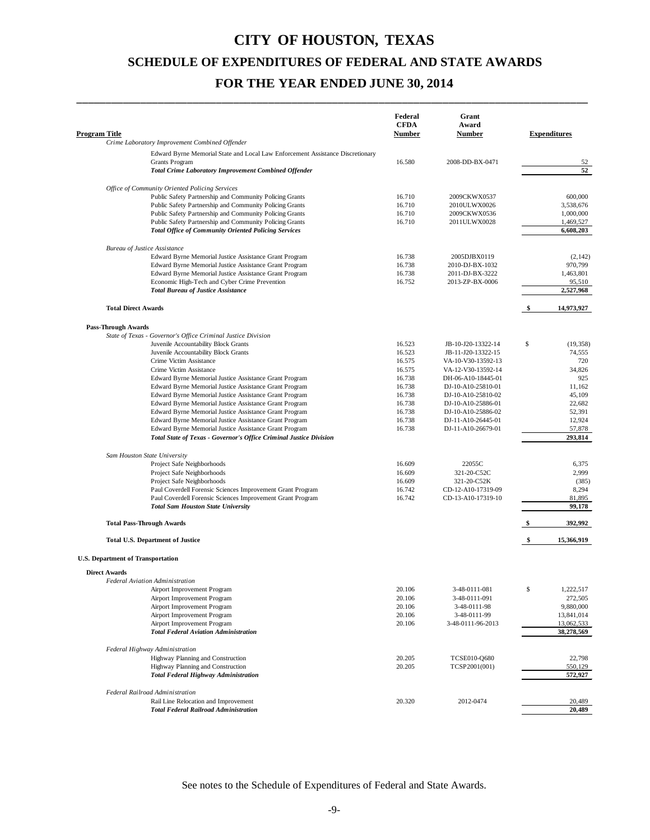\_\_\_\_\_\_\_\_\_\_\_\_\_\_\_\_\_\_\_\_\_\_\_\_\_\_\_\_\_\_\_\_\_\_\_\_\_\_\_\_\_\_\_\_\_\_\_\_\_\_\_\_\_\_\_\_\_\_\_\_\_\_\_\_\_\_\_\_\_\_\_\_\_\_\_\_\_\_\_\_\_\_\_\_\_\_\_\_

| <b>Program Title</b>                                                                                             |                                                                                | Federal<br><b>CFDA</b><br><b>Number</b> | Grant<br>Award<br>Number                 |      | <b>Expenditures</b>      |
|------------------------------------------------------------------------------------------------------------------|--------------------------------------------------------------------------------|-----------------------------------------|------------------------------------------|------|--------------------------|
| Crime Laboratory Improvement Combined Offender                                                                   |                                                                                |                                         |                                          |      |                          |
|                                                                                                                  | Edward Byrne Memorial State and Local Law Enforcement Assistance Discretionary |                                         |                                          |      |                          |
| <b>Grants Program</b>                                                                                            |                                                                                | 16.580                                  | 2008-DD-BX-0471                          |      | 52                       |
| <b>Total Crime Laboratory Improvement Combined Offender</b>                                                      |                                                                                |                                         |                                          |      | 52                       |
| Office of Community Oriented Policing Services                                                                   |                                                                                |                                         |                                          |      |                          |
| Public Safety Partnership and Community Policing Grants                                                          |                                                                                | 16.710                                  | 2009CKWX0537                             |      | 600,000                  |
| Public Safety Partnership and Community Policing Grants                                                          |                                                                                | 16.710                                  | 2010ULWX0026                             |      | 3,538,676                |
| Public Safety Partnership and Community Policing Grants                                                          |                                                                                | 16.710                                  | 2009CKWX0536                             |      | 1,000,000                |
| Public Safety Partnership and Community Policing Grants                                                          |                                                                                | 16.710                                  | 2011ULWX0028                             |      | 1,469,527                |
| <b>Total Office of Community Oriented Policing Services</b>                                                      |                                                                                |                                         |                                          |      | 6,608,203                |
| <b>Bureau of Justice Assistance</b>                                                                              |                                                                                |                                         |                                          |      |                          |
| Edward Byrne Memorial Justice Assistance Grant Program                                                           |                                                                                | 16.738                                  | 2005DJBX0119                             |      | (2.142)                  |
| Edward Byrne Memorial Justice Assistance Grant Program                                                           |                                                                                | 16.738                                  | 2010-DJ-BX-1032                          |      | 970,799                  |
| Edward Byrne Memorial Justice Assistance Grant Program                                                           |                                                                                | 16.738                                  | 2011-DJ-BX-3222                          |      | 1,463,801                |
| Economic High-Tech and Cyber Crime Prevention                                                                    |                                                                                | 16.752                                  | 2013-ZP-BX-0006                          |      | 95,510                   |
| <b>Total Bureau of Justice Assistance</b>                                                                        |                                                                                |                                         |                                          |      | 2,527,968                |
| <b>Total Direct Awards</b>                                                                                       |                                                                                |                                         |                                          | - \$ | 14,973,927               |
|                                                                                                                  |                                                                                |                                         |                                          |      |                          |
| <b>Pass-Through Awards</b><br>State of Texas - Governor's Office Criminal Justice Division                       |                                                                                |                                         |                                          |      |                          |
| Juvenile Accountability Block Grants                                                                             |                                                                                | 16.523                                  | JB-10-J20-13322-14                       | \$   | (19, 358)                |
| Juvenile Accountability Block Grants                                                                             |                                                                                | 16.523                                  | JB-11-J20-13322-15                       |      | 74,555                   |
| Crime Victim Assistance                                                                                          |                                                                                | 16.575                                  | VA-10-V30-13592-13                       |      | 720                      |
| Crime Victim Assistance                                                                                          |                                                                                | 16.575                                  | VA-12-V30-13592-14                       |      | 34,826                   |
| Edward Byrne Memorial Justice Assistance Grant Program                                                           |                                                                                | 16.738                                  | DH-06-A10-18445-01                       |      | 925                      |
| Edward Byrne Memorial Justice Assistance Grant Program                                                           |                                                                                | 16.738<br>16.738                        | DJ-10-A10-25810-01                       |      | 11,162<br>45,109         |
| Edward Byrne Memorial Justice Assistance Grant Program<br>Edward Byrne Memorial Justice Assistance Grant Program |                                                                                | 16.738                                  | DJ-10-A10-25810-02<br>DJ-10-A10-25886-01 |      | 22,682                   |
| Edward Byrne Memorial Justice Assistance Grant Program                                                           |                                                                                | 16.738                                  | DJ-10-A10-25886-02                       |      | 52,391                   |
| Edward Byrne Memorial Justice Assistance Grant Program                                                           |                                                                                | 16.738                                  | DJ-11-A10-26445-01                       |      | 12,924                   |
| Edward Byrne Memorial Justice Assistance Grant Program                                                           |                                                                                | 16.738                                  | DJ-11-A10-26679-01                       |      | 57,878                   |
| Total State of Texas - Governor's Office Criminal Justice Division                                               |                                                                                |                                         |                                          |      | 293,814                  |
| Sam Houston State University                                                                                     |                                                                                |                                         |                                          |      |                          |
| Project Safe Neighborhoods                                                                                       |                                                                                | 16.609                                  | 22055C                                   |      | 6,375                    |
| Project Safe Neighborhoods                                                                                       |                                                                                | 16.609                                  | 321-20-C52C                              |      | 2,999                    |
| Project Safe Neighborhoods                                                                                       |                                                                                | 16.609                                  | 321-20-C52K                              |      | (385)                    |
| Paul Coverdell Forensic Sciences Improvement Grant Program                                                       |                                                                                | 16.742                                  | CD-12-A10-17319-09                       |      | 8,294                    |
| Paul Coverdell Forensic Sciences Improvement Grant Program                                                       |                                                                                | 16.742                                  | CD-13-A10-17319-10                       |      | 81,895                   |
| <b>Total Sam Houston State University</b>                                                                        |                                                                                |                                         |                                          |      | 99,178                   |
| <b>Total Pass-Through Awards</b>                                                                                 |                                                                                |                                         |                                          |      | 392,992                  |
| <b>Total U.S. Department of Justice</b>                                                                          |                                                                                |                                         |                                          | \$   | 15,366,919               |
| <b>U.S. Department of Transportation</b>                                                                         |                                                                                |                                         |                                          |      |                          |
| <b>Direct Awards</b>                                                                                             |                                                                                |                                         |                                          |      |                          |
| <b>Federal Aviation Administration</b>                                                                           |                                                                                |                                         |                                          |      |                          |
| Airport Improvement Program                                                                                      |                                                                                | 20.106                                  | 3-48-0111-081                            | \$   | 1,222,517                |
| Airport Improvement Program                                                                                      |                                                                                | 20.106                                  | 3-48-0111-091                            |      | 272,505                  |
| Airport Improvement Program                                                                                      |                                                                                | 20.106                                  | 3-48-0111-98                             |      | 9,880,000                |
| Airport Improvement Program<br>Airport Improvement Program                                                       |                                                                                | 20.106<br>20.106                        | 3-48-0111-99<br>3-48-0111-96-2013        |      | 13,841,014<br>13,062,533 |
| <b>Total Federal Aviation Administration</b>                                                                     |                                                                                |                                         |                                          |      | 38,278,569               |
| Federal Highway Administration                                                                                   |                                                                                |                                         |                                          |      |                          |
| Highway Planning and Construction                                                                                |                                                                                | 20.205                                  | TCSE010-Q680                             |      | 22,798                   |
| Highway Planning and Construction                                                                                |                                                                                | 20.205                                  | TCSP2001(001)                            |      | 550,129                  |
| <b>Total Federal Highway Administration</b>                                                                      |                                                                                |                                         |                                          |      | 572,927                  |
| Federal Railroad Administration                                                                                  |                                                                                |                                         |                                          |      |                          |
| Rail Line Relocation and Improvement                                                                             |                                                                                | 20.320                                  | 2012-0474                                |      | 20,489                   |
| <b>Total Federal Railroad Administration</b>                                                                     |                                                                                |                                         |                                          |      | 20,489                   |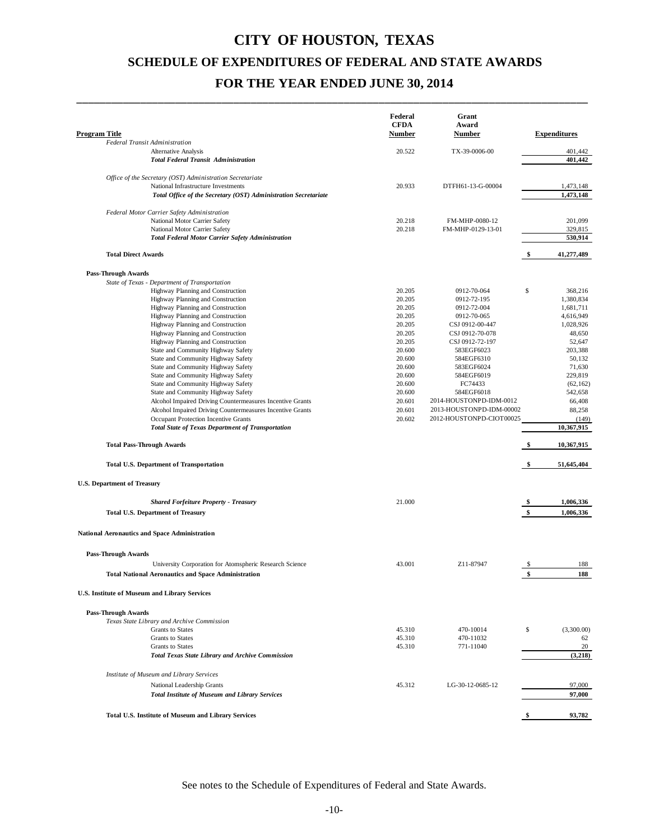\_\_\_\_\_\_\_\_\_\_\_\_\_\_\_\_\_\_\_\_\_\_\_\_\_\_\_\_\_\_\_\_\_\_\_\_\_\_\_\_\_\_\_\_\_\_\_\_\_\_\_\_\_\_\_\_\_\_\_\_\_\_\_\_\_\_\_\_\_\_\_\_\_\_\_\_\_\_\_\_\_\_\_\_\_\_\_\_

| Program Title                                                                             | Federal<br><b>CFDA</b><br>Number | Grant<br>Award<br><b>Number</b> | <b>Expenditures</b> |
|-------------------------------------------------------------------------------------------|----------------------------------|---------------------------------|---------------------|
| <b>Federal Transit Administration</b>                                                     |                                  |                                 |                     |
| <b>Alternative Analysis</b><br><b>Total Federal Transit Administration</b>                | 20.522                           | TX-39-0006-00                   | 401,442<br>401,442  |
| Office of the Secretary (OST) Administration Secretariate                                 |                                  |                                 |                     |
| National Infrastructure Investments                                                       | 20.933                           | DTFH61-13-G-00004               | 1,473,148           |
| Total Office of the Secretary (OST) Administration Secretariate                           |                                  |                                 | 1,473,148           |
| Federal Motor Carrier Safety Administration                                               |                                  |                                 |                     |
| National Motor Carrier Safety                                                             | 20.218                           | FM-MHP-0080-12                  | 201,099             |
| National Motor Carrier Safety<br><b>Total Federal Motor Carrier Safety Administration</b> | 20.218                           | FM-MHP-0129-13-01               | 329,815<br>530,914  |
| <b>Total Direct Awards</b>                                                                |                                  |                                 | \$<br>41,277,489    |
| <b>Pass-Through Awards</b>                                                                |                                  |                                 |                     |
| State of Texas - Department of Transportation                                             |                                  |                                 |                     |
| Highway Planning and Construction                                                         | 20.205                           | 0912-70-064                     | \$<br>368,216       |
| Highway Planning and Construction                                                         | 20.205                           | 0912-72-195                     | 1,380,834           |
| Highway Planning and Construction                                                         | 20.205                           | 0912-72-004                     | 1,681,711           |
| Highway Planning and Construction                                                         | 20.205                           | 0912-70-065                     | 4,616,949           |
| Highway Planning and Construction                                                         | 20.205                           | CSJ 0912-00-447                 | 1,028,926           |
| Highway Planning and Construction                                                         | 20.205                           | CSJ 0912-70-078                 | 48,650              |
| Highway Planning and Construction<br>State and Community Highway Safety                   | 20.205<br>20.600                 | CSJ 0912-72-197<br>583EGF6023   | 52,647<br>203,388   |
| State and Community Highway Safety                                                        | 20.600                           | 584EGF6310                      | 50.132              |
| State and Community Highway Safety                                                        | 20.600                           | 583EGF6024                      | 71,630              |
| State and Community Highway Safety                                                        | 20.600                           | 584EGF6019                      | 229,819             |
| State and Community Highway Safety                                                        | 20.600                           | FC74433                         | (62, 162)           |
| State and Community Highway Safety                                                        | 20.600                           | 584EGF6018                      | 542,658             |
| Alcohol Impaired Driving Countermeasures Incentive Grants                                 | 20.601                           | 2014-HOUSTONPD-IDM-0012         | 66,408              |
| Alcohol Impaired Driving Countermeasures Incentive Grants                                 | 20.601                           | 2013-HOUSTONPD-IDM-00002        | 88,258              |
| Occupant Protection Incentive Grants                                                      | 20.602                           | 2012-HOUSTONPD-CIOT00025        | (149)               |
| <b>Total State of Texas Department of Transportation</b>                                  |                                  |                                 | 10,367,915          |
| <b>Total Pass-Through Awards</b>                                                          |                                  |                                 | 10,367,915          |
| <b>Total U.S. Department of Transportation</b>                                            |                                  |                                 | \$<br>51,645,404    |
| <b>U.S. Department of Treasury</b>                                                        |                                  |                                 |                     |
| <b>Shared Forfeiture Property - Treasury</b>                                              | 21.000                           |                                 | 1,006,336           |
| <b>Total U.S. Department of Treasury</b>                                                  |                                  |                                 | \$<br>1,006,336     |
| <b>National Aeronautics and Space Administration</b>                                      |                                  |                                 |                     |
| <b>Pass-Through Awards</b>                                                                |                                  |                                 |                     |
| University Corporation for Atomspheric Research Science                                   | 43.001                           | 7.11-87947                      | 188                 |
| <b>Total National Aeronautics and Space Administration</b>                                |                                  |                                 | \$<br>188           |
| <b>U.S. Institute of Museum and Library Services</b>                                      |                                  |                                 |                     |
| <b>Pass-Through Awards</b>                                                                |                                  |                                 |                     |
| Texas State Library and Archive Commission                                                |                                  |                                 |                     |
| <b>Grants</b> to States                                                                   | 45.310                           | 470-10014                       | \$<br>(3,300.00)    |
| <b>Grants</b> to States                                                                   | 45.310                           | 470-11032                       | 62                  |
| <b>Grants</b> to States                                                                   | 45.310                           | 771-11040                       | 20                  |
| <b>Total Texas State Library and Archive Commission</b>                                   |                                  |                                 | (3,218)             |
| Institute of Museum and Library Services                                                  |                                  |                                 |                     |
| National Leadership Grants                                                                | 45.312                           | LG-30-12-0685-12                | 97,000              |
| <b>Total Institute of Museum and Library Services</b>                                     |                                  |                                 | 97,000              |
| Total U.S. Institute of Museum and Library Services                                       |                                  |                                 | \$<br>93,782        |
|                                                                                           |                                  |                                 |                     |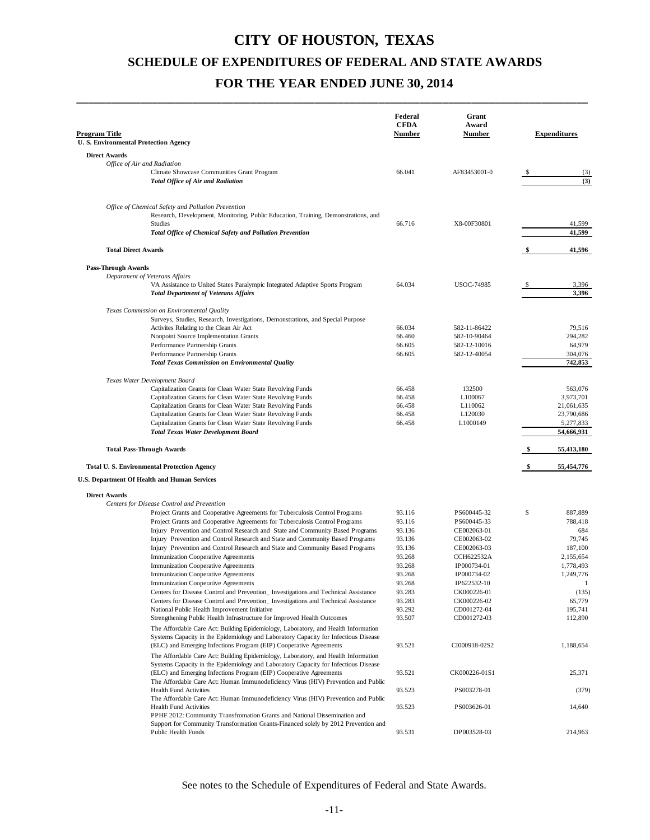\_\_\_\_\_\_\_\_\_\_\_\_\_\_\_\_\_\_\_\_\_\_\_\_\_\_\_\_\_\_\_\_\_\_\_\_\_\_\_\_\_\_\_\_\_\_\_\_\_\_\_\_\_\_\_\_\_\_\_\_\_\_\_\_\_\_\_\_\_\_\_\_\_\_\_\_\_\_\_\_\_\_\_\_\_\_\_\_

| Program Title                                                                                                                                                             | Federal<br><b>CFDA</b><br><b>Number</b> | Grant<br>Award<br>Number       |    | <b>Expenditures</b>      |
|---------------------------------------------------------------------------------------------------------------------------------------------------------------------------|-----------------------------------------|--------------------------------|----|--------------------------|
| U.S. Environmental Protection Agency                                                                                                                                      |                                         |                                |    |                          |
| <b>Direct Awards</b><br>Office of Air and Radiation                                                                                                                       |                                         |                                |    |                          |
| Climate Showcase Communities Grant Program<br><b>Total Office of Air and Radiation</b>                                                                                    | 66.041                                  | AF83453001-0                   |    | (3)<br>(3)               |
| Office of Chemical Safety and Pollution Prevention<br>Research, Development, Monitoring, Public Education, Training, Demonstrations, and                                  |                                         |                                |    |                          |
| Studies<br>Total Office of Chemical Safety and Pollution Prevention                                                                                                       | 66.716                                  | X8-00F30801                    |    | 41,599<br>41,599         |
| <b>Total Direct Awards</b>                                                                                                                                                |                                         |                                | \$ | 41,596                   |
| <b>Pass-Through Awards</b>                                                                                                                                                |                                         |                                |    |                          |
| Department of Veterans Affairs                                                                                                                                            |                                         |                                |    |                          |
| VA Assistance to United States Paralympic Integrated Adaptive Sports Program<br><b>Total Department of Veterans Affairs</b>                                               | 64.034                                  | <b>USOC-74985</b>              |    | 3,396<br>3,396           |
| Texas Commission on Environmental Quality<br>Surveys, Studies, Research, Investigations, Demonstrations, and Special Purpose                                              |                                         |                                |    |                          |
| Activites Relating to the Clean Air Act                                                                                                                                   | 66.034                                  | 582-11-86422                   |    | 79,516                   |
| Nonpoint Source Implementation Grants                                                                                                                                     | 66.460                                  | 582-10-90464                   |    | 294,282                  |
| Performance Partnership Grants                                                                                                                                            | 66.605                                  | 582-12-10016                   |    | 64,979                   |
| Performance Partnership Grants                                                                                                                                            | 66.605                                  | 582-12-40054                   |    | 304,076                  |
| <b>Total Texas Commission on Environmental Quality</b>                                                                                                                    |                                         |                                |    | 742,853                  |
| Texas Water Development Board                                                                                                                                             |                                         |                                |    |                          |
| Capitalization Grants for Clean Water State Revolving Funds                                                                                                               | 66.458                                  | 132500                         |    | 563,076                  |
| Capitalization Grants for Clean Water State Revolving Funds                                                                                                               | 66.458                                  | L <sub>100067</sub>            |    | 3,973,701                |
| Capitalization Grants for Clean Water State Revolving Funds<br>Capitalization Grants for Clean Water State Revolving Funds                                                | 66.458<br>66.458                        | L110062<br>L <sub>120030</sub> |    | 21,061,635<br>23,790,686 |
| Capitalization Grants for Clean Water State Revolving Funds                                                                                                               | 66.458                                  | L1000149                       |    | 5,277,833                |
| <b>Total Texas Water Development Board</b>                                                                                                                                |                                         |                                |    | 54,666,931               |
| <b>Total Pass-Through Awards</b>                                                                                                                                          |                                         |                                |    | 55,413,180               |
| <b>Total U.S. Environmental Protection Agency</b>                                                                                                                         |                                         |                                | S, | 55,454,776               |
| U.S. Department Of Health and Human Services                                                                                                                              |                                         |                                |    |                          |
| <b>Direct Awards</b>                                                                                                                                                      |                                         |                                |    |                          |
| Centers for Disease Control and Prevention                                                                                                                                |                                         |                                |    |                          |
| Project Grants and Cooperative Agreements for Tuberculosis Control Programs                                                                                               | 93.116                                  | PS600445-32                    | \$ | 887,889                  |
| Project Grants and Cooperative Agreements for Tuberculosis Control Programs                                                                                               | 93.116                                  | PS600445-33                    |    | 788,418                  |
| Injury Prevention and Control Research and State and Community Based Programs                                                                                             | 93.136                                  | CE002063-01                    |    | 684                      |
| Injury Prevention and Control Research and State and Community Based Programs                                                                                             | 93.136<br>93.136                        | CE002063-02<br>CE002063-03     |    | 79,745<br>187,100        |
| Injury Prevention and Control Research and State and Community Based Programs<br><b>Immunization Cooperative Agreements</b>                                               | 93.268                                  | <b>CCH622532A</b>              |    | 2,155,654                |
| <b>Immunization Cooperative Agreements</b>                                                                                                                                | 93.268                                  | IP000734-01                    |    | 1,778,493                |
| Immunization Cooperative Agreements                                                                                                                                       | 93.268                                  | IP000734-02                    |    | 1,249,776                |
| Immunization Cooperative Agreements                                                                                                                                       | 93.268                                  | IP622532-10                    |    |                          |
| Centers for Disease Control and Prevention_ Investigations and Technical Assistance                                                                                       | 93.283                                  | CK000226-01                    |    | (135)                    |
| Centers for Disease Control and Prevention_Investigations and Technical Assistance                                                                                        | 93.283                                  | CK000226-02                    |    | 65,779                   |
| National Public Health Improvement Initiative                                                                                                                             | 93.292                                  | CD001272-04                    |    | 195,741                  |
| Strengthening Public Health Infrastructure for Improved Health Outcomes<br>The Affordable Care Act: Building Epidemiology, Laboratory, and Health Information             | 93.507                                  | CD001272-03                    |    | 112,890                  |
| Systems Capacity in the Epidemiology and Laboratory Capacity for Infectious Disease                                                                                       |                                         |                                |    |                          |
| (ELC) and Emerging Infections Program (EIP) Cooperative Agreements                                                                                                        | 93.521                                  | CI000918-02S2                  |    | 1,188,654                |
| The Affordable Care Act: Building Epidemiology, Laboratory, and Health Information<br>Systems Capacity in the Epidemiology and Laboratory Capacity for Infectious Disease |                                         |                                |    |                          |
| (ELC) and Emerging Infections Program (EIP) Cooperative Agreements                                                                                                        | 93.521                                  | CK000226-01S1                  |    | 25,371                   |
| The Affordable Care Act: Human Immunodeficiency Virus (HIV) Prevention and Public<br><b>Health Fund Activities</b>                                                        | 93.523                                  | PS003278-01                    |    | (379)                    |
| The Affordable Care Act: Human Immunodeficiency Virus (HIV) Prevention and Public<br><b>Health Fund Activities</b>                                                        | 93.523                                  | PS003626-01                    |    | 14,640                   |
| PPHF 2012: Community Transfromation Grants and National Dissemination and<br>Support for Community Transformation Grants-Financed solely by 2012 Prevention and           |                                         |                                |    |                          |
| Public Health Funds                                                                                                                                                       | 93.531                                  | DP003528-03                    |    | 214,963                  |
|                                                                                                                                                                           |                                         |                                |    |                          |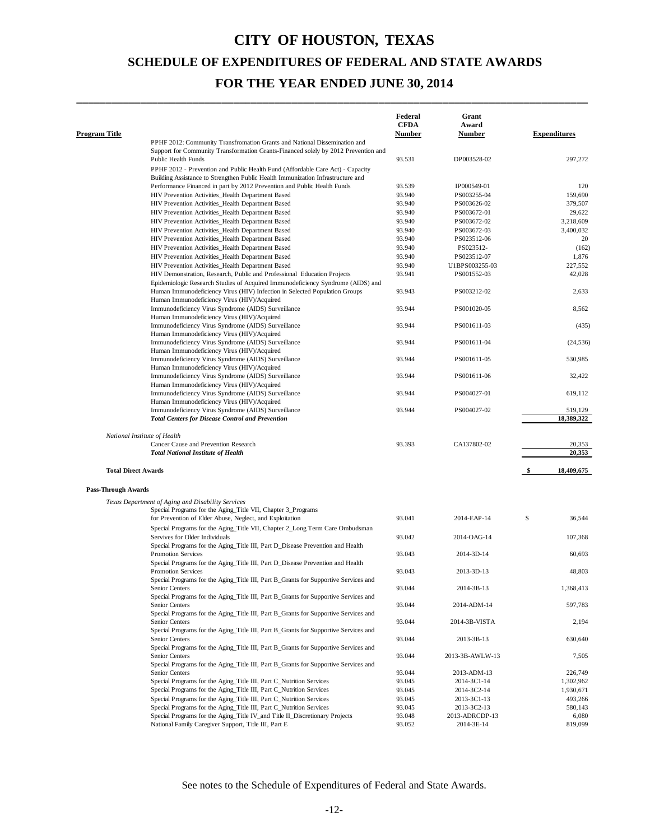\_\_\_\_\_\_\_\_\_\_\_\_\_\_\_\_\_\_\_\_\_\_\_\_\_\_\_\_\_\_\_\_\_\_\_\_\_\_\_\_\_\_\_\_\_\_\_\_\_\_\_\_\_\_\_\_\_\_\_\_\_\_\_\_\_\_\_\_\_\_\_\_\_\_\_\_\_\_\_\_\_\_\_\_\_\_\_\_

| <b>Program Title</b>       |                                                                                                                                                                   | Federal<br><b>CFDA</b><br><b>Number</b> | Grant<br>Award<br>Number | <b>Expenditures</b> |
|----------------------------|-------------------------------------------------------------------------------------------------------------------------------------------------------------------|-----------------------------------------|--------------------------|---------------------|
|                            | PPHF 2012: Community Transfromation Grants and National Dissemination and                                                                                         |                                         |                          |                     |
|                            | Support for Community Transformation Grants-Financed solely by 2012 Prevention and<br><b>Public Health Funds</b>                                                  | 93.531                                  | DP003528-02              | 297,272             |
|                            | PPHF 2012 - Prevention and Public Health Fund (Affordable Care Act) - Capacity<br>Building Assistance to Strengthen Public Health Immunization Infrastructure and |                                         |                          |                     |
|                            | Performance Financed in part by 2012 Prevention and Public Health Funds                                                                                           | 93.539                                  | IP000549-01              | 120                 |
|                            | HIV Prevention Activities_Health Department Based                                                                                                                 | 93.940                                  | PS003255-04              | 159,690             |
|                            | HIV Prevention Activities_Health Department Based                                                                                                                 | 93.940                                  | PS003626-02              | 379,507             |
|                            | HIV Prevention Activities_Health Department Based                                                                                                                 | 93.940                                  | PS003672-01              | 29,622              |
|                            | HIV Prevention Activities_Health Department Based                                                                                                                 | 93.940                                  | PS003672-02              | 3,218,609           |
|                            | HIV Prevention Activities_Health Department Based                                                                                                                 | 93.940                                  | PS003672-03              | 3,400,032           |
|                            | HIV Prevention Activities_Health Department Based                                                                                                                 | 93.940                                  | PS023512-06              | 20                  |
|                            | HIV Prevention Activities_Health Department Based                                                                                                                 | 93.940                                  | PS023512-                | (162)               |
|                            | HIV Prevention Activities_Health Department Based                                                                                                                 | 93.940                                  | PS023512-07              | 1,876               |
|                            | HIV Prevention Activities_Health Department Based                                                                                                                 | 93.940                                  | U1BPS003255-03           | 227,552             |
|                            | HIV Demonstration, Research, Public and Professional Education Projects                                                                                           | 93.941                                  | PS001552-03              | 42,028              |
|                            | Epidemiologic Research Studies of Acquired Immunodeficiency Syndrome (AIDS) and                                                                                   |                                         |                          |                     |
|                            | Human Immunodeficiency Virus (HIV) Infection in Selected Population Groups<br>Human Immunodeficiency Virus (HIV)/Acquired                                         | 93.943                                  | PS003212-02              | 2,633               |
|                            | Immunodeficiency Virus Syndrome (AIDS) Surveillance<br>Human Immunodeficiency Virus (HIV)/Acquired                                                                | 93.944                                  | PS001020-05              | 8,562               |
|                            | Immunodeficiency Virus Syndrome (AIDS) Surveillance<br>Human Immunodeficiency Virus (HIV)/Acquired                                                                | 93.944                                  | PS001611-03              | (435)               |
|                            | Immunodeficiency Virus Syndrome (AIDS) Surveillance<br>Human Immunodeficiency Virus (HIV)/Acquired                                                                | 93.944                                  | PS001611-04              | (24, 536)           |
|                            | Immunodeficiency Virus Syndrome (AIDS) Surveillance<br>Human Immunodeficiency Virus (HIV)/Acquired                                                                | 93.944                                  | PS001611-05              | 530,985             |
|                            | Immunodeficiency Virus Syndrome (AIDS) Surveillance<br>Human Immunodeficiency Virus (HIV)/Acquired                                                                | 93.944                                  | PS001611-06              | 32,422              |
|                            | Immunodeficiency Virus Syndrome (AIDS) Surveillance<br>Human Immunodeficiency Virus (HIV)/Acquired                                                                | 93.944                                  | PS004027-01              | 619,112             |
|                            | Immunodeficiency Virus Syndrome (AIDS) Surveillance                                                                                                               | 93.944                                  | PS004027-02              | 519,129             |
|                            | <b>Total Centers for Disease Control and Prevention</b>                                                                                                           |                                         |                          | 18,389,322          |
|                            |                                                                                                                                                                   |                                         |                          |                     |
|                            | National Institute of Health                                                                                                                                      |                                         |                          |                     |
|                            | Cancer Cause and Prevention Research                                                                                                                              | 93.393                                  | CA137802-02              | 20,353              |
|                            | <b>Total National Institute of Health</b>                                                                                                                         |                                         |                          | 20,353              |
| <b>Total Direct Awards</b> |                                                                                                                                                                   |                                         |                          | 18,409,675<br>\$    |
| <b>Pass-Through Awards</b> |                                                                                                                                                                   |                                         |                          |                     |
|                            | Texas Department of Aging and Disability Services                                                                                                                 |                                         |                          |                     |
|                            | Special Programs for the Aging_Title VII, Chapter 3_Programs                                                                                                      |                                         |                          |                     |
|                            | for Prevention of Elder Abuse, Neglect, and Exploitation                                                                                                          | 93.041                                  | 2014-EAP-14              | \$<br>36,544        |
|                            |                                                                                                                                                                   |                                         |                          |                     |
|                            | Special Programs for the Aging_Title VII, Chapter 2_Long Term Care Ombudsman<br>Servives for Older Individuals                                                    | 93.042                                  | 2014-OAG-14              | 107,368             |
|                            | Special Programs for the Aging_Title III, Part D_Disease Prevention and Health<br><b>Promotion Services</b>                                                       | 93.043                                  | 2014-3D-14               | 60,693              |
|                            | Special Programs for the Aging_Title III, Part D_Disease Prevention and Health<br><b>Promotion Services</b>                                                       | 93.043                                  | 2013-3D-13               | 48,803              |
|                            | Special Programs for the Aging_Title III, Part B_Grants for Supportive Services and<br>Senior Centers                                                             | 93.044                                  | 2014-3B-13               | 1,368,413           |
|                            | Special Programs for the Aging Title III, Part B Grants for Supportive Services and<br>Senior Centers                                                             | 93.044                                  | 2014-ADM-14              | 597,783             |
|                            | Special Programs for the Aging Title III, Part B_Grants for Supportive Services and<br>Senior Centers                                                             | 93.044                                  | 2014-3B-VISTA            | 2,194               |
|                            | Special Programs for the Aging Title III, Part B_Grants for Supportive Services and<br>Senior Centers                                                             | 93.044                                  | 2013-3B-13               | 630,640             |
|                            | Special Programs for the Aging Title III, Part B Grants for Supportive Services and<br>Senior Centers                                                             | 93.044                                  | 2013-3B-AWLW-13          | 7,505               |
|                            | Special Programs for the Aging Title III, Part B_Grants for Supportive Services and<br>Senior Centers                                                             | 93.044                                  | 2013-ADM-13              | 226,749             |
|                            | Special Programs for the Aging_Title III, Part C_Nutrition Services                                                                                               | 93.045                                  | 2014-3C1-14              | 1,302,962           |
|                            | Special Programs for the Aging_Title III, Part C_Nutrition Services                                                                                               | 93.045                                  | 2014-3C2-14              | 1,930,671           |
|                            | Special Programs for the Aging_Title III, Part C_Nutrition Services                                                                                               | 93.045                                  | 2013-3C1-13              | 493,266             |
|                            | Special Programs for the Aging_Title III, Part C_Nutrition Services                                                                                               | 93.045                                  | 2013-3C2-13              | 580,143             |
|                            | Special Programs for the Aging_Title IV_and Title II_Discretionary Projects                                                                                       | 93.048                                  | 2013-ADRCDP-13           | 6,080               |
|                            | National Family Caregiver Support, Title III, Part E                                                                                                              | 93.052                                  | 2014-3E-14               | 819,099             |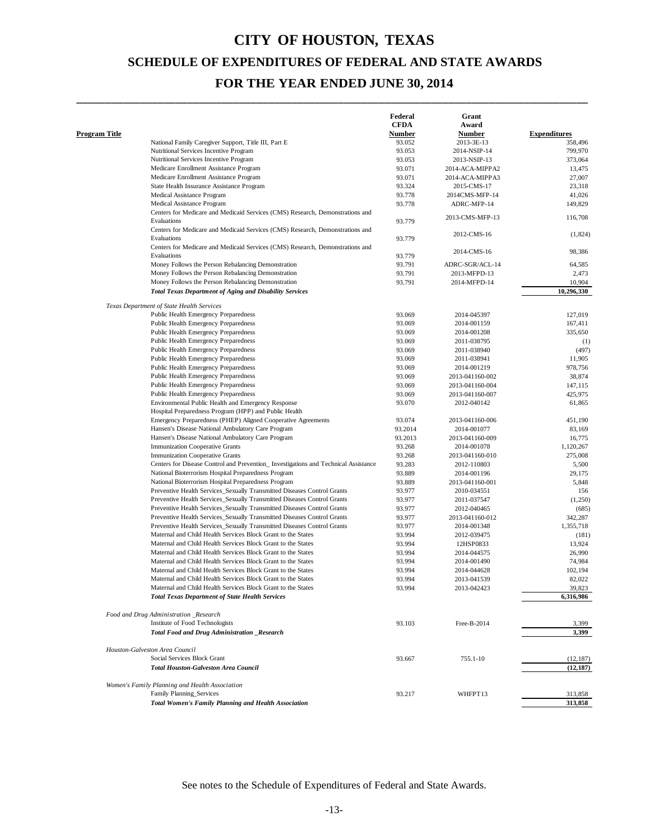\_\_\_\_\_\_\_\_\_\_\_\_\_\_\_\_\_\_\_\_\_\_\_\_\_\_\_\_\_\_\_\_\_\_\_\_\_\_\_\_\_\_\_\_\_\_\_\_\_\_\_\_\_\_\_\_\_\_\_\_\_\_\_\_\_\_\_\_\_\_\_\_\_\_\_\_\_\_\_\_\_\_\_\_\_\_\_\_

|                      |                                                                                     | Federal     | Grant           |                     |
|----------------------|-------------------------------------------------------------------------------------|-------------|-----------------|---------------------|
|                      |                                                                                     | <b>CFDA</b> | Award           |                     |
| <b>Program Title</b> |                                                                                     | Number      | Number          | <b>Expenditures</b> |
|                      | National Family Caregiver Support, Title III, Part E                                | 93.052      | 2013-3E-13      | 358,496             |
|                      | Nutritional Services Incentive Program                                              | 93.053      | 2014-NSIP-14    | 799,970             |
|                      | Nutritional Services Incentive Program                                              | 93.053      | 2013-NSIP-13    | 373,064             |
|                      | Medicare Enrollment Assistance Program                                              | 93.071      | 2014-ACA-MIPPA2 | 13,475              |
|                      | Medicare Enrollment Assistance Program                                              | 93.071      | 2014-ACA-MIPPA3 | 27,007              |
|                      | State Health Insurance Assistance Program                                           | 93.324      | 2015-CMS-17     | 23,318              |
|                      | Medical Assistance Program                                                          | 93.778      | 2014CMS-MFP-14  | 41,026              |
|                      | Medical Assistance Program                                                          | 93.778      | ADRC-MFP-14     | 149,829             |
|                      | Centers for Medicare and Medicaid Services (CMS) Research, Demonstrations and       |             |                 |                     |
|                      | Evaluations                                                                         | 93.779      | 2013-CMS-MFP-13 | 116,708             |
|                      | Centers for Medicare and Medicaid Services (CMS) Research, Demonstrations and       |             |                 |                     |
|                      | Evaluations                                                                         | 93.779      | 2012-CMS-16     | (1,824)             |
|                      | Centers for Medicare and Medicaid Services (CMS) Research, Demonstrations and       |             |                 |                     |
|                      | Evaluations                                                                         | 93.779      | 2014-CMS-16     | 98,386              |
|                      | Money Follows the Person Rebalancing Demonstration                                  | 93.791      | ADRC-SGR/ACL-14 | 64,585              |
|                      | Money Follows the Person Rebalancing Demonstration                                  | 93.791      | 2013-MFPD-13    | 2,473               |
|                      | Money Follows the Person Rebalancing Demonstration                                  | 93.791      | 2014-MFPD-14    | 10,904              |
|                      | <b>Total Texas Department of Aging and Disability Services</b>                      |             |                 | 10,296,330          |
|                      |                                                                                     |             |                 |                     |
|                      | Texas Department of State Health Services<br>Public Health Emergency Preparedness   | 93.069      | 2014-045397     | 127,019             |
|                      | Public Health Emergency Preparedness                                                | 93.069      | 2014-001159     | 167,411             |
|                      | Public Health Emergency Preparedness                                                | 93.069      | 2014-001208     | 335,650             |
|                      | <b>Public Health Emergency Preparedness</b>                                         | 93.069      | 2011-038795     | (1)                 |
|                      | Public Health Emergency Preparedness                                                | 93.069      | 2011-038940     | (497)               |
|                      | Public Health Emergency Preparedness                                                | 93.069      |                 | 11,905              |
|                      | Public Health Emergency Preparedness                                                |             | 2011-038941     |                     |
|                      |                                                                                     | 93.069      | 2014-001219     | 978,756             |
|                      | Public Health Emergency Preparedness                                                | 93.069      | 2013-041160-002 | 38,874              |
|                      | Public Health Emergency Preparedness                                                | 93.069      | 2013-041160-004 | 147,115             |
|                      | Public Health Emergency Preparedness                                                | 93.069      | 2013-041160-007 | 425,975             |
|                      | Environmental Public Health and Emergency Response                                  | 93.070      | 2012-040142     | 61,865              |
|                      | Hospital Preparedness Program (HPP) and Public Health                               |             |                 |                     |
|                      | Emergency Preparedness (PHEP) Aligned Cooperative Agreements                        | 93.074      | 2013-041160-006 | 451,190             |
|                      | Hansen's Disease National Ambulatory Care Program                                   | 93.2014     | 2014-001077     | 83,169              |
|                      | Hansen's Disease National Ambulatory Care Program                                   | 93.2013     | 2013-041160-009 | 16,775              |
|                      | <b>Immunization Cooperative Grants</b>                                              | 93.268      | 2014-001078     | 1,120,267           |
|                      | <b>Immunization Cooperative Grants</b>                                              | 93.268      | 2013-041160-010 | 275,008             |
|                      | Centers for Disease Control and Prevention_ Investigations and Technical Assistance | 93.283      | 2012-110803     | 5,500               |
|                      | National Bioterrorism Hospital Preparedness Program                                 | 93.889      | 2014-001196     | 29,175              |
|                      | National Bioterrorism Hospital Preparedness Program                                 | 93.889      | 2013-041160-001 | 5,848               |
|                      | Preventive Health Services_Sexually Transmitted Diseases Control Grants             | 93.977      | 2010-034551     | 156                 |
|                      | Preventive Health Services_Sexually Transmitted Diseases Control Grants             | 93.977      | 2011-037547     | (1,250)             |
|                      | Preventive Health Services_Sexually Transmitted Diseases Control Grants             | 93.977      | 2012-040465     | (685)               |
|                      | Preventive Health Services_Sexually Transmitted Diseases Control Grants             | 93.977      | 2013-041160-012 | 342,287             |
|                      | Preventive Health Services_Sexually Transmitted Diseases Control Grants             | 93.977      | 2014-001348     | 1,355,718           |
|                      | Maternal and Child Health Services Block Grant to the States                        | 93.994      | 2012-039475     | (181)               |
|                      | Maternal and Child Health Services Block Grant to the States                        | 93.994      | 12HSP0833       | 13,924              |
|                      | Maternal and Child Health Services Block Grant to the States                        | 93.994      | 2014-044575     | 26,990              |
|                      | Maternal and Child Health Services Block Grant to the States                        | 93.994      | 2014-001490     | 74,984              |
|                      | Maternal and Child Health Services Block Grant to the States                        | 93.994      | 2014-044628     | 102,194             |
|                      | Maternal and Child Health Services Block Grant to the States                        | 93.994      | 2013-041539     | 82,022              |
|                      | Maternal and Child Health Services Block Grant to the States                        | 93.994      | 2013-042423     | 39,823              |
|                      | <b>Total Texas Department of State Health Services</b>                              |             |                 | 6,316,986           |
|                      | Food and Drug Administration _Research                                              |             |                 |                     |
|                      | Institute of Food Technologists                                                     | 93.103      | Free-B-2014     | 3,399               |
|                      | Total Food and Drug Administration _Research                                        |             |                 | 3,399               |
|                      | Houston-Galveston Area Council                                                      |             |                 |                     |
|                      | Social Services Block Grant                                                         | 93.667      | 755.1-10        | (12, 187)           |
|                      | <b>Total Houston-Galveston Area Council</b>                                         |             |                 | (12, 187)           |
|                      |                                                                                     |             |                 |                     |
|                      | Women's Family Planning and Health Association<br>Family Planning_Services          | 93.217      | WHFPT13         | 313,858             |
|                      | <b>Total Women's Family Planning and Health Association</b>                         |             |                 | 313,858             |
|                      |                                                                                     |             |                 |                     |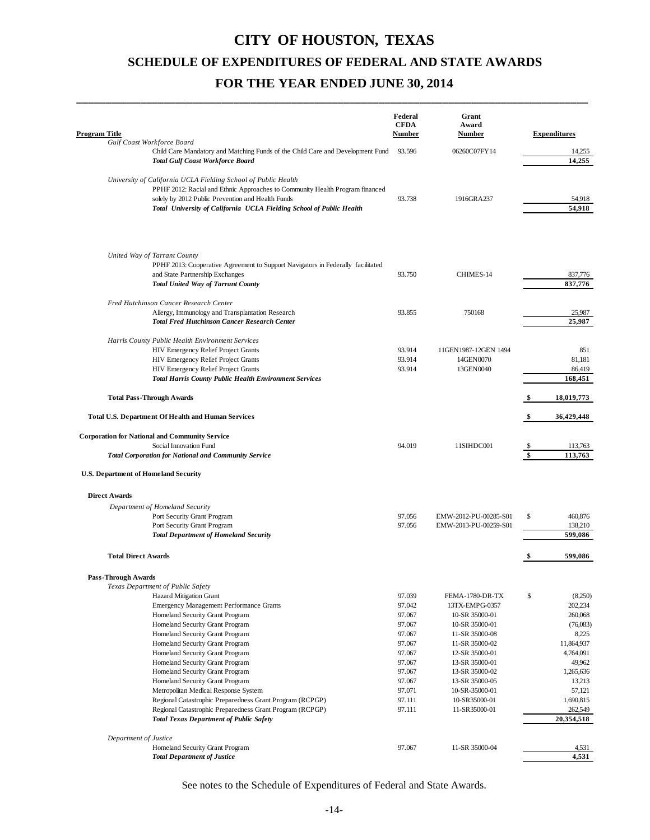\_\_\_\_\_\_\_\_\_\_\_\_\_\_\_\_\_\_\_\_\_\_\_\_\_\_\_\_\_\_\_\_\_\_\_\_\_\_\_\_\_\_\_\_\_\_\_\_\_\_\_\_\_\_\_\_\_\_\_\_\_\_\_\_\_\_\_\_\_\_\_\_\_\_\_\_\_\_\_\_\_\_\_\_\_\_\_\_

| Program Title                                                                                                                                                                                                                                                               | Federal<br><b>CFDA</b><br><b>Number</b> | Grant<br>Award<br><b>Number</b> |     | <b>Expenditures</b> |
|-----------------------------------------------------------------------------------------------------------------------------------------------------------------------------------------------------------------------------------------------------------------------------|-----------------------------------------|---------------------------------|-----|---------------------|
| Gulf Coast Workforce Board<br>Child Care Mandatory and Matching Funds of the Child Care and Development Fund                                                                                                                                                                | 93.596                                  | 06260C07FY14                    |     | 14,255              |
| <b>Total Gulf Coast Workforce Board</b>                                                                                                                                                                                                                                     |                                         |                                 |     | 14,255              |
| University of California UCLA Fielding School of Public Health<br>PPHF 2012: Racial and Ethnic Approaches to Community Health Program financed<br>solely by 2012 Public Prevention and Health Funds<br>Total University of California UCLA Fielding School of Public Health | 93.738                                  | 1916GRA237                      |     | 54,918<br>54,918    |
| United Way of Tarrant County<br>PPHF 2013: Cooperative Agreement to Support Navigators in Federally facilitated<br>and State Partnership Exchanges<br><b>Total United Way of Tarrant County</b>                                                                             | 93.750                                  | CHIMES-14                       |     | 837,776<br>837,776  |
| Fred Hutchinson Cancer Research Center                                                                                                                                                                                                                                      |                                         |                                 |     |                     |
| Allergy, Immunology and Transplantation Research<br><b>Total Fred Hutchinson Cancer Research Center</b>                                                                                                                                                                     | 93.855                                  | 750168                          |     | 25,987<br>25,987    |
|                                                                                                                                                                                                                                                                             |                                         |                                 |     |                     |
| Harris County Public Health Environment Services                                                                                                                                                                                                                            |                                         |                                 |     |                     |
| HIV Emergency Relief Project Grants                                                                                                                                                                                                                                         | 93.914                                  | 11GEN1987-12GEN 1494            |     | 851                 |
| HIV Emergency Relief Project Grants<br>HIV Emergency Relief Project Grants                                                                                                                                                                                                  | 93.914<br>93.914                        | 14GEN0070<br>13GEN0040          |     | 81,181<br>86,419    |
| <b>Total Harris County Public Health Environment Services</b>                                                                                                                                                                                                               |                                         |                                 |     | 168,451             |
| <b>Total Pass-Through Awards</b>                                                                                                                                                                                                                                            |                                         |                                 |     | 18,019,773          |
| Total U.S. Department Of Health and Human Services                                                                                                                                                                                                                          |                                         |                                 | \$. | 36,429,448          |
|                                                                                                                                                                                                                                                                             |                                         |                                 |     |                     |
| <b>Corporation for National and Community Service</b>                                                                                                                                                                                                                       |                                         |                                 |     |                     |
| Social Innovation Fund                                                                                                                                                                                                                                                      | 94.019                                  | 11SIHDC001                      |     | 113,763             |
| <b>Total Corporation for National and Community Service</b>                                                                                                                                                                                                                 |                                         |                                 | \$  | 113,763             |
| U.S. Department of Homeland Security                                                                                                                                                                                                                                        |                                         |                                 |     |                     |
| <b>Direct Awards</b>                                                                                                                                                                                                                                                        |                                         |                                 |     |                     |
| Department of Homeland Security                                                                                                                                                                                                                                             |                                         |                                 |     |                     |
| Port Security Grant Program                                                                                                                                                                                                                                                 | 97.056                                  | EMW-2012-PU-00285-S01           | \$  | 460,876             |
| Port Security Grant Program                                                                                                                                                                                                                                                 | 97.056                                  | EMW-2013-PU-00259-S01           |     | 138,210             |
| <b>Total Department of Homeland Security</b>                                                                                                                                                                                                                                |                                         |                                 |     | 599,086             |
| <b>Total Direct Awards</b>                                                                                                                                                                                                                                                  |                                         |                                 | S,  | 599,086             |
|                                                                                                                                                                                                                                                                             |                                         |                                 |     |                     |
| Pass-Through Awards<br>Texas Department of Public Safety                                                                                                                                                                                                                    |                                         |                                 |     |                     |
| Hazard Mitigation Grant                                                                                                                                                                                                                                                     | 97.039                                  | FEMA-1780-DR-TX                 | \$  | (8,250)             |
| <b>Emergency Management Performance Grants</b>                                                                                                                                                                                                                              | 97.042                                  | 13TX-EMPG-0357                  |     | 202,234             |
| Homeland Security Grant Program                                                                                                                                                                                                                                             | 97.067                                  | 10-SR 35000-01                  |     | 260,068             |
| Homeland Security Grant Program                                                                                                                                                                                                                                             | 97.067                                  | 10-SR 35000-01                  |     | (76,083)            |
| Homeland Security Grant Program                                                                                                                                                                                                                                             | 97.067                                  | 11-SR 35000-08                  |     | 8,225               |
| Homeland Security Grant Program                                                                                                                                                                                                                                             | 97.067                                  | 11-SR 35000-02                  |     | 11,864,937          |
| Homeland Security Grant Program                                                                                                                                                                                                                                             | 97.067                                  | 12-SR 35000-01                  |     | 4,764,091           |
| Homeland Security Grant Program                                                                                                                                                                                                                                             | 97.067                                  | 13-SR 35000-01                  |     | 49,962              |
| Homeland Security Grant Program                                                                                                                                                                                                                                             | 97.067                                  | 13-SR 35000-02                  |     | 1,265,636           |
| Homeland Security Grant Program                                                                                                                                                                                                                                             | 97.067                                  | 13-SR 35000-05                  |     | 13,213              |
| Metropolitan Medical Response System                                                                                                                                                                                                                                        | 97.071<br>97.111                        | 10-SR-35000-01<br>10-SR35000-01 |     | 57,121<br>1,690,815 |
| Regional Catastrophic Preparedness Grant Program (RCPGP)<br>Regional Catastrophic Preparedness Grant Program (RCPGP)                                                                                                                                                        | 97.111                                  | 11-SR35000-01                   |     | 262,549             |
| <b>Total Texas Department of Public Safety</b>                                                                                                                                                                                                                              |                                         |                                 |     | 20,354,518          |
|                                                                                                                                                                                                                                                                             |                                         |                                 |     |                     |
| Department of Justice<br>Homeland Security Grant Program                                                                                                                                                                                                                    | 97.067                                  | 11-SR 35000-04                  |     |                     |
| <b>Total Department of Justice</b>                                                                                                                                                                                                                                          |                                         |                                 |     | 4,531<br>4,531      |
|                                                                                                                                                                                                                                                                             |                                         |                                 |     |                     |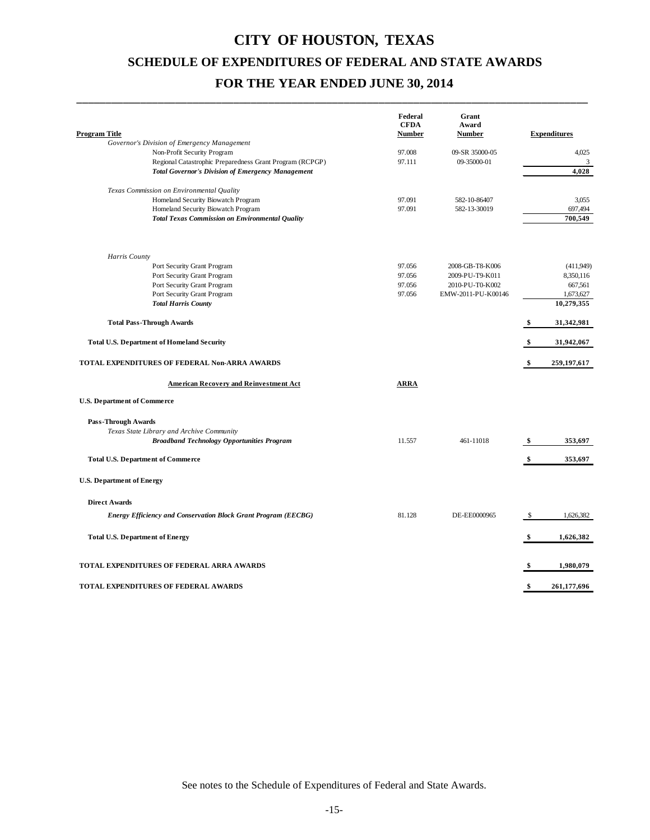\_\_\_\_\_\_\_\_\_\_\_\_\_\_\_\_\_\_\_\_\_\_\_\_\_\_\_\_\_\_\_\_\_\_\_\_\_\_\_\_\_\_\_\_\_\_\_\_\_\_\_\_\_\_\_\_\_\_\_\_\_\_\_\_\_\_\_\_\_\_\_\_\_\_\_\_\_\_\_\_\_\_\_\_\_\_\_\_

|                                                                            | Federal<br><b>CFDA</b> | Grant<br>Award     |    |                     |
|----------------------------------------------------------------------------|------------------------|--------------------|----|---------------------|
| <b>Program Title</b>                                                       | Number                 | <b>Number</b>      |    | <b>Expenditures</b> |
| Governor's Division of Emergency Management<br>Non-Profit Security Program | 97.008                 | 09-SR 35000-05     |    | 4,025               |
| Regional Catastrophic Preparedness Grant Program (RCPGP)                   | 97.111                 | 09-35000-01        |    | 3                   |
| <b>Total Governor's Division of Emergency Management</b>                   |                        |                    |    | 4,028               |
|                                                                            |                        |                    |    |                     |
| Texas Commission on Environmental Quality                                  |                        |                    |    |                     |
| Homeland Security Biowatch Program                                         | 97.091                 | 582-10-86407       |    | 3,055               |
| Homeland Security Biowatch Program                                         | 97.091                 | 582-13-30019       |    | 697,494             |
| <b>Total Texas Commission on Environmental Quality</b>                     |                        |                    |    | 700.549             |
|                                                                            |                        |                    |    |                     |
| Harris County                                                              |                        |                    |    |                     |
| Port Security Grant Program                                                | 97.056                 | 2008-GB-T8-K006    |    | (411.949)           |
| Port Security Grant Program                                                | 97.056                 | 2009-PU-T9-K011    |    | 8,350,116           |
| Port Security Grant Program                                                | 97.056                 | 2010-PU-T0-K002    |    | 667,561             |
| Port Security Grant Program                                                | 97.056                 | EMW-2011-PU-K00146 |    | 1,673,627           |
| <b>Total Harris County</b>                                                 |                        |                    |    | 10,279,355          |
| <b>Total Pass-Through Awards</b>                                           |                        |                    | \$ | 31,342,981          |
| Total U.S. Department of Homeland Security                                 |                        |                    | \$ | 31,942,067          |
| TOTAL EXPENDITURES OF FEDERAL Non-ARRA AWARDS                              |                        |                    | \$ | 259, 197, 617       |
| <b>American Recovery and Reinvestment Act</b>                              | <b>ARRA</b>            |                    |    |                     |
| U.S. Department of Commerce                                                |                        |                    |    |                     |
| <b>Pass-Through Awards</b>                                                 |                        |                    |    |                     |
| Texas State Library and Archive Community                                  |                        |                    |    |                     |
| <b>Broadband Technology Opportunities Program</b>                          | 11.557                 | 461-11018          | \$ | 353,697             |
| Total U.S. Department of Commerce                                          |                        |                    | \$ | 353,697             |
| U.S. Department of Energy                                                  |                        |                    |    |                     |
|                                                                            |                        |                    |    |                     |
| <b>Direct Awards</b>                                                       |                        |                    |    |                     |
| <b>Energy Efficiency and Conservation Block Grant Program (EECBG)</b>      | 81.128                 | DE-EE0000965       | -S | 1,626,382           |
|                                                                            |                        |                    |    |                     |
| <b>Total U.S. Department of Energy</b>                                     |                        |                    | \$ | 1,626,382           |
| TOTAL EXPENDITURES OF FEDERAL ARRA AWARDS                                  |                        |                    | \$ | 1,980,079           |
|                                                                            |                        |                    |    |                     |
| TOTAL EXPENDITURES OF FEDERAL AWARDS                                       |                        |                    | \$ | 261,177,696         |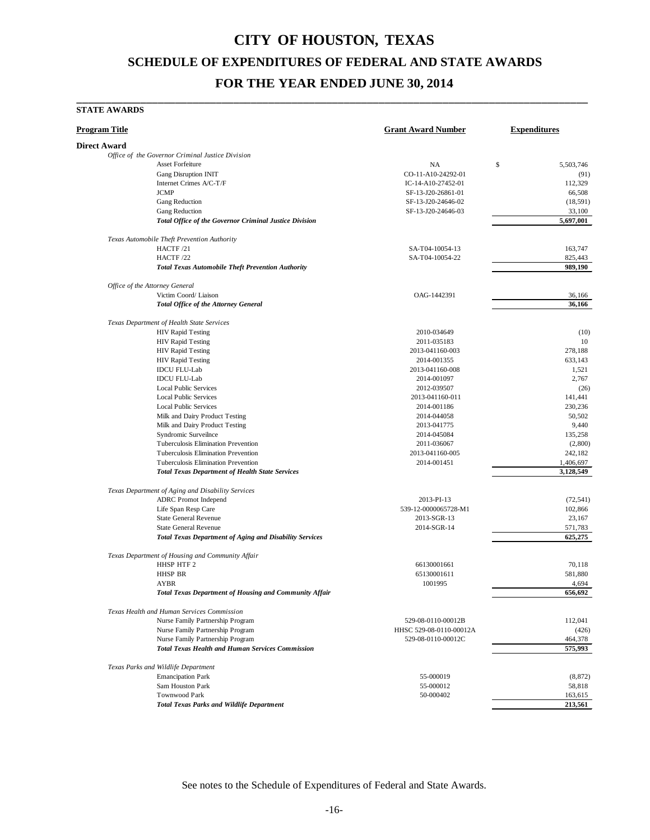\_\_\_\_\_\_\_\_\_\_\_\_\_\_\_\_\_\_\_\_\_\_\_\_\_\_\_\_\_\_\_\_\_\_\_\_\_\_\_\_\_\_\_\_\_\_\_\_\_\_\_\_\_\_\_\_\_\_\_\_\_\_\_\_\_\_\_\_\_\_\_\_\_\_\_\_\_\_\_\_\_\_\_\_\_\_\_\_

#### **STATE AWARDS**

| Program Title                                                                               | <b>Grant Award Number</b> | <b>Expenditures</b> |
|---------------------------------------------------------------------------------------------|---------------------------|---------------------|
| Direct Award                                                                                |                           |                     |
| Office of the Governor Criminal Justice Division                                            |                           |                     |
| <b>Asset Forfeiture</b>                                                                     | NA                        | \$<br>5,503,746     |
| <b>Gang Disruption INIT</b>                                                                 | CO-11-A10-24292-01        | (91)                |
| Internet Crimes A/C-T/F                                                                     | IC-14-A10-27452-01        | 112,329             |
| <b>JCMP</b>                                                                                 | SF-13-J20-26861-01        | 66.508              |
| Gang Reduction                                                                              | SF-13-J20-24646-02        | (18, 591)           |
| Gang Reduction                                                                              | SF-13-J20-24646-03        | 33,100              |
| Total Office of the Governor Criminal Justice Division                                      |                           | 5,697,001           |
| Texas Automobile Theft Prevention Authority                                                 |                           |                     |
| HACTF/21                                                                                    | SA-T04-10054-13           | 163,747             |
| HACTF/22                                                                                    | SA-T04-10054-22           | 825,443             |
| <b>Total Texas Automobile Theft Prevention Authority</b>                                    |                           | 989,190             |
| Office of the Attorney General                                                              |                           |                     |
| Victim Coord/ Liaison                                                                       | OAG-1442391               | 36,166              |
| <b>Total Office of the Attorney General</b>                                                 |                           | 36,166              |
| Texas Department of Health State Services                                                   |                           |                     |
| <b>HIV Rapid Testing</b>                                                                    | 2010-034649               | (10)                |
| <b>HIV Rapid Testing</b>                                                                    | 2011-035183               | 10                  |
| <b>HIV Rapid Testing</b>                                                                    | 2013-041160-003           | 278,188             |
| <b>HIV Rapid Testing</b>                                                                    | 2014-001355               | 633,143             |
| <b>IDCU FLU-Lab</b>                                                                         | 2013-041160-008           | 1,521               |
| <b>IDCU FLU-Lab</b>                                                                         | 2014-001097               | 2,767               |
| <b>Local Public Services</b>                                                                | 2012-039507               | (26)                |
| <b>Local Public Services</b>                                                                | 2013-041160-011           | 141,441             |
| <b>Local Public Services</b>                                                                | 2014-001186               | 230,236             |
| Milk and Dairy Product Testing                                                              | 2014-044058               | 50,502              |
| Milk and Dairy Product Testing                                                              | 2013-041775               | 9,440               |
| Syndromic Surveilnce                                                                        | 2014-045084               | 135,258             |
| Tuberculosis Elimination Prevention                                                         | 2011-036067               | (2,800)             |
| Tuberculosis Elimination Prevention                                                         | 2013-041160-005           | 242,182             |
| Tuberculosis Elimination Prevention                                                         | 2014-001451               | 1,406,697           |
| <b>Total Texas Department of Health State Services</b>                                      |                           | 3,128,549           |
|                                                                                             |                           |                     |
| Texas Department of Aging and Disability Services                                           |                           |                     |
| <b>ADRC</b> Promot Independ                                                                 | 2013-PI-13                | (72, 541)           |
| Life Span Resp Care                                                                         | 539-12-0000065728-M1      | 102,866             |
| <b>State General Revenue</b>                                                                | 2013-SGR-13               | 23,167              |
| <b>State General Revenue</b>                                                                | 2014-SGR-14               | 571,783             |
| <b>Total Texas Department of Aging and Disability Services</b>                              |                           | 625,275             |
| Texas Department of Housing and Community Affair                                            |                           |                     |
| HHSP HTF 2                                                                                  | 66130001661               | 70,118              |
| <b>HHSP BR</b>                                                                              | 65130001611               | 581,880             |
| <b>AYBR</b><br><b>Total Texas Department of Housing and Community Affair</b>                | 1001995                   | 4,694<br>656,692    |
|                                                                                             |                           |                     |
| Texas Health and Human Services Commission                                                  |                           |                     |
| Nurse Family Partnership Program                                                            | 529-08-0110-00012B        | 112,041             |
| Nurse Family Partnership Program                                                            | HHSC 529-08-0110-00012A   | (426)               |
| Nurse Family Partnership Program<br><b>Total Texas Health and Human Services Commission</b> | 529-08-0110-00012C        | 464,378<br>575,993  |
|                                                                                             |                           |                     |
| Texas Parks and Wildlife Department                                                         |                           |                     |
| <b>Emancipation Park</b><br>Sam Houston Park                                                | 55-000019<br>55-000012    | (8, 872)<br>58,818  |
| <b>Townwood Park</b>                                                                        | 50-000402                 | 163,615             |
| <b>Total Texas Parks and Wildlife Department</b>                                            |                           | 213,561             |
|                                                                                             |                           |                     |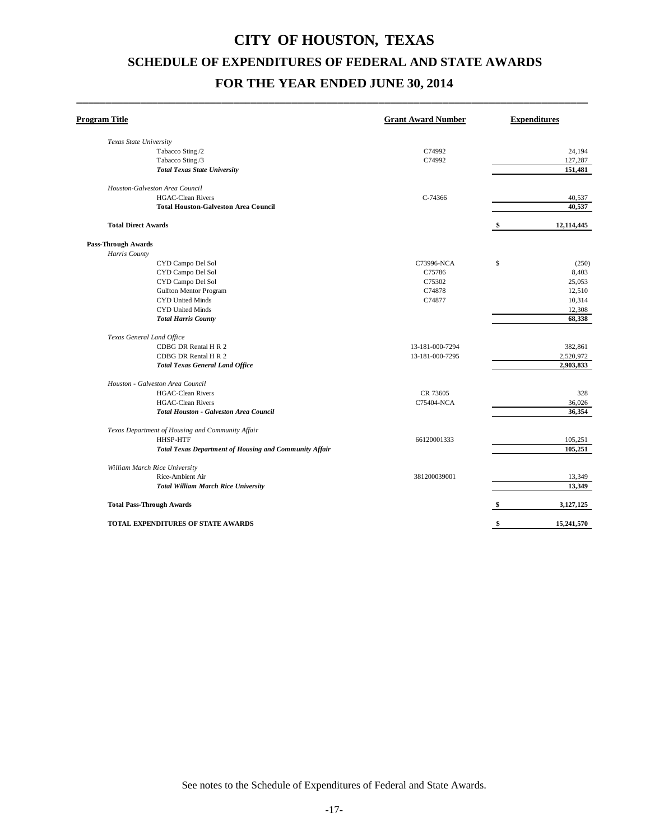\_\_\_\_\_\_\_\_\_\_\_\_\_\_\_\_\_\_\_\_\_\_\_\_\_\_\_\_\_\_\_\_\_\_\_\_\_\_\_\_\_\_\_\_\_\_\_\_\_\_\_\_\_\_\_\_\_\_\_\_\_\_\_\_\_\_\_\_\_\_\_\_\_\_\_\_\_\_\_\_\_\_\_\_\_\_\_\_

| Program Title                                                 | <b>Grant Award Number</b> | <b>Expenditures</b> |
|---------------------------------------------------------------|---------------------------|---------------------|
| Texas State University                                        |                           |                     |
| Tabacco Sting /2                                              | C74992                    | 24,194              |
| Tabacco Sting /3                                              | C74992                    | 127,287             |
| <b>Total Texas State University</b>                           |                           | 151,481             |
| Houston-Galveston Area Council                                |                           |                     |
| <b>HGAC-Clean Rivers</b>                                      | C-74366                   | 40,537              |
| <b>Total Houston-Galveston Area Council</b>                   |                           | 40,537              |
| <b>Total Direct Awards</b>                                    |                           | \$<br>12,114,445    |
| <b>Pass-Through Awards</b>                                    |                           |                     |
| Harris County                                                 |                           |                     |
| CYD Campo Del Sol                                             | C73996-NCA                | \$<br>(250)         |
| CYD Campo Del Sol                                             | C75786                    | 8,403               |
| CYD Campo Del Sol                                             | C75302                    | 25,053              |
| <b>Gulfton Mentor Program</b>                                 | C74878                    | 12,510              |
| <b>CYD United Minds</b>                                       | C74877                    | 10,314              |
| CYD United Minds                                              |                           | 12,308              |
| <b>Total Harris County</b>                                    |                           | 68,338              |
| Texas General Land Office                                     |                           |                     |
| CDBG DR Rental H R 2                                          | 13-181-000-7294           | 382,861             |
| CDBG DR Rental H R 2                                          | 13-181-000-7295           | 2,520,972           |
| <b>Total Texas General Land Office</b>                        |                           | 2,903,833           |
| Houston - Galveston Area Council                              |                           |                     |
| <b>HGAC-Clean Rivers</b>                                      | CR 73605                  | 328                 |
| <b>HGAC-Clean Rivers</b>                                      | C75404-NCA                | 36,026              |
| <b>Total Houston - Galveston Area Council</b>                 |                           | 36.354              |
| Texas Department of Housing and Community Affair              |                           |                     |
| <b>HHSP-HTF</b>                                               | 66120001333               | 105,251             |
| <b>Total Texas Department of Housing and Community Affair</b> |                           | 105.251             |
| William March Rice University                                 |                           |                     |
| Rice-Ambient Air                                              | 381200039001              | 13,349              |
| <b>Total William March Rice University</b>                    |                           | 13,349              |
| <b>Total Pass-Through Awards</b>                              |                           | \$<br>3,127,125     |
| TOTAL EXPENDITURES OF STATE AWARDS                            |                           | \$<br>15,241,570    |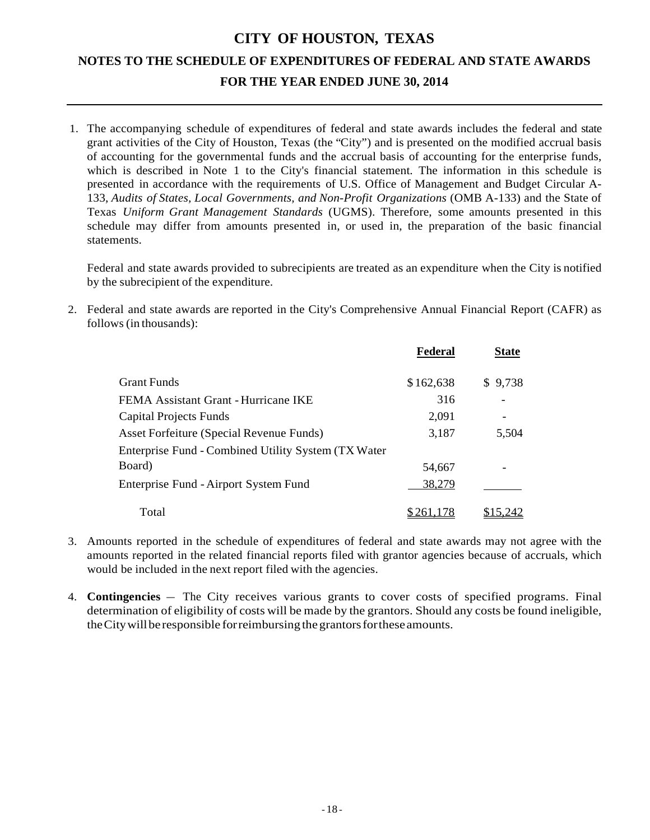1. The accompanying schedule of expenditures of federal and state awards includes the federal and state grant activities of the City of Houston, Texas (the "City") and is presented on the modified accrual basis of accounting for the governmental funds and the accrual basis of accounting for the enterprise funds, which is described in Note 1 to the City's financial statement. The information in this schedule is presented in accordance with the requirements of U.S. Office of Management and Budget Circular A-133, *Audits of States, Local Governments, and Non-Profit Organizations* (OMB A-133) and the State of Texas *Uniform Grant Management Standards* (UGMS). Therefore, some amounts presented in this schedule may differ from amounts presented in, or used in, the preparation of the basic financial statements.

Federal and state awards provided to subrecipients are treated as an expenditure when the City is notified by the subrecipient of the expenditure.

2. Federal and state awards are reported in the City's Comprehensive Annual Financial Report (CAFR) as follows (in thousands):

|                                                     | Federal   | <b>State</b> |
|-----------------------------------------------------|-----------|--------------|
| <b>Grant Funds</b>                                  | \$162,638 | \$9,738      |
| FEMA Assistant Grant - Hurricane IKE                | 316       |              |
| Capital Projects Funds                              | 2,091     |              |
| Asset Forfeiture (Special Revenue Funds)            | 3,187     | 5,504        |
| Enterprise Fund - Combined Utility System (TX Water |           |              |
| Board)                                              | 54,667    |              |
| Enterprise Fund - Airport System Fund               | 38,279    |              |
| Total                                               | \$261,178 | \$15.242     |

- 3. Amounts reported in the schedule of expenditures of federal and state awards may not agree with the amounts reported in the related financial reports filed with grantor agencies because of accruals, which would be included in the next report filed with the agencies.
- 4. **Contingencies** The City receives various grants to cover costs of specified programs. Final determination of eligibility of costs will be made by the grantors. Should any costs be found ineligible, the City will be responsible for reimbursing the grantors for these amounts.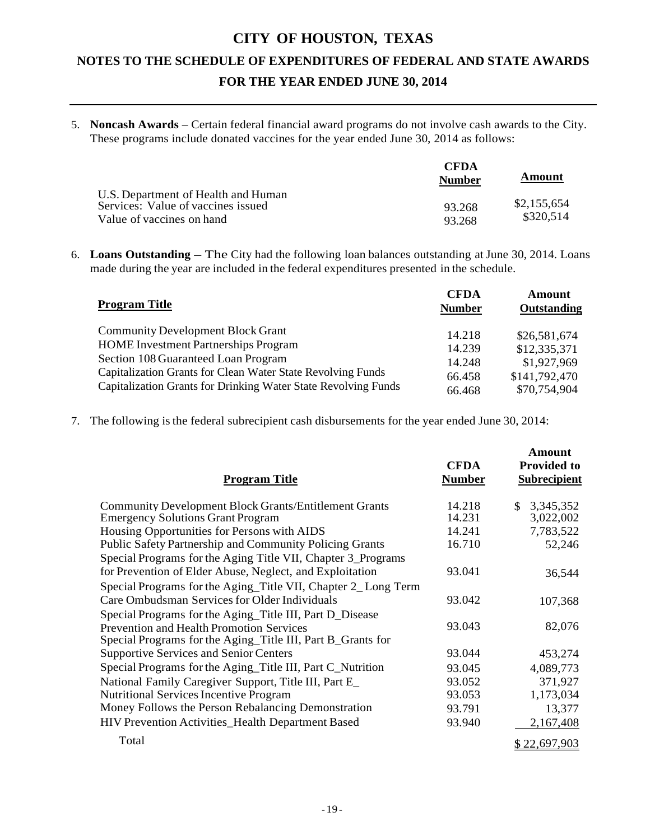5. **Noncash Awards** – Certain federal financial award programs do not involve cash awards to the City. These programs include donated vaccines for the year ended June 30, 2014 as follows:

|                                                                                                        | <b>CFDA</b><br><b>Number</b> | Amount                   |
|--------------------------------------------------------------------------------------------------------|------------------------------|--------------------------|
| U.S. Department of Health and Human<br>Services: Value of vaccines issued<br>Value of vaccines on hand | 93.268<br>93.268             | \$2,155,654<br>\$320.514 |

6. **Loans Outstanding –** The City had the following loan balances outstanding at June 30, 2014. Loans made during the year are included in the federal expenditures presented in the schedule.

| <b>Program Title</b>                                           | <b>CFDA</b><br><b>Number</b> | Amount<br>Outstanding |
|----------------------------------------------------------------|------------------------------|-----------------------|
| <b>Community Development Block Grant</b>                       | 14.218                       | \$26,581,674          |
| <b>HOME</b> Investment Partnerships Program                    | 14.239                       | \$12,335,371          |
| Section 108 Guaranteed Loan Program                            | 14.248                       | \$1,927,969           |
| Capitalization Grants for Clean Water State Revolving Funds    | 66.458                       | \$141,792,470         |
| Capitalization Grants for Drinking Water State Revolving Funds | 66.468                       | \$70,754,904          |

7. The following isthe federal subrecipient cash disbursements for the year ended June 30, 2014:

| <b>Program Title</b>                                           | <b>CFDA</b><br><b>Number</b> | Amount<br><b>Provided to</b><br><b>Subrecipient</b> |
|----------------------------------------------------------------|------------------------------|-----------------------------------------------------|
| <b>Community Development Block Grants/Entitlement Grants</b>   | 14.218                       | \$3,345,352                                         |
| <b>Emergency Solutions Grant Program</b>                       | 14.231                       | 3,022,002                                           |
| Housing Opportunities for Persons with AIDS                    | 14.241                       | 7,783,522                                           |
| <b>Public Safety Partnership and Community Policing Grants</b> | 16.710                       | 52,246                                              |
| Special Programs for the Aging Title VII, Chapter 3_Programs   |                              |                                                     |
| for Prevention of Elder Abuse, Neglect, and Exploitation       | 93.041                       | 36,544                                              |
| Special Programs for the Aging_Title VII, Chapter 2_Long Term  |                              |                                                     |
| Care Ombudsman Services for Older Individuals                  | 93.042                       | 107,368                                             |
| Special Programs for the Aging_Title III, Part D_Disease       |                              |                                                     |
| <b>Prevention and Health Promotion Services</b>                | 93.043                       | 82,076                                              |
| Special Programs for the Aging_Title III, Part B_Grants for    |                              |                                                     |
| <b>Supportive Services and Senior Centers</b>                  | 93.044                       | 453,274                                             |
| Special Programs for the Aging_Title III, Part C_Nutrition     | 93.045                       | 4,089,773                                           |
| National Family Caregiver Support, Title III, Part E_          | 93.052                       | 371,927                                             |
| <b>Nutritional Services Incentive Program</b>                  | 93.053                       | 1,173,034                                           |
| Money Follows the Person Rebalancing Demonstration             | 93.791                       | 13,377                                              |
| HIV Prevention Activities_Health Department Based              | 93.940                       | 2,167,408                                           |
| Total                                                          |                              | <u>\$22,697,903</u>                                 |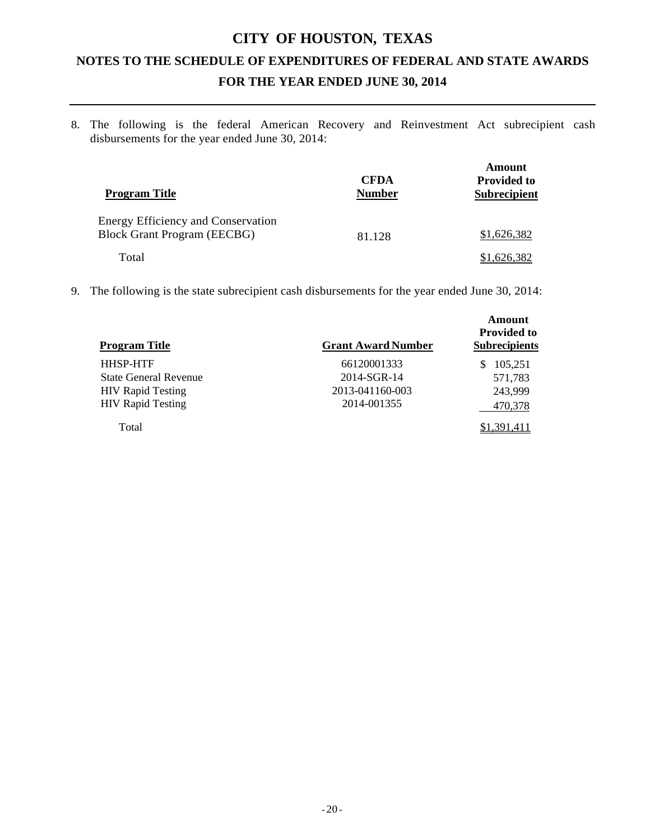8. The following is the federal American Recovery and Reinvestment Act subrecipient cash disbursements for the year ended June 30, 2014:

| <b>Program Title</b>                                                            | <b>CFDA</b><br><b>Number</b> | Amount<br><b>Provided to</b><br><b>Subrecipient</b> |
|---------------------------------------------------------------------------------|------------------------------|-----------------------------------------------------|
| <b>Energy Efficiency and Conservation</b><br><b>Block Grant Program (EECBG)</b> | 81.128                       | \$1,626,382                                         |
| Total                                                                           |                              | 1.626.382                                           |

9. The following is the state subrecipient cash disbursements for the year ended June 30, 2014:

| <b>Program Title</b>         | <b>Grant Award Number</b> | Amount<br><b>Provided to</b><br><b>Subrecipients</b> |
|------------------------------|---------------------------|------------------------------------------------------|
| <b>HHSP-HTF</b>              | 66120001333               | 105,251<br>S                                         |
| <b>State General Revenue</b> | 2014-SGR-14               | 571,783                                              |
| <b>HIV Rapid Testing</b>     | 2013-041160-003           | 243,999                                              |
| <b>HIV</b> Rapid Testing     | 2014-001355               | 470,378                                              |
| Total                        |                           |                                                      |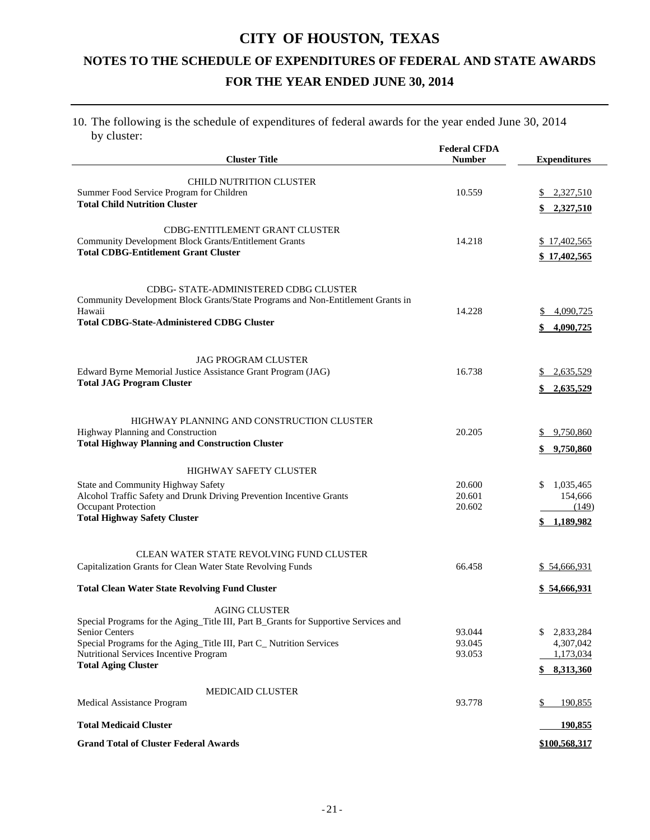#### 10. The following is the schedule of expenditures of federal awards for the year ended June 30, 2014 by cluster:

| <b>Cluster Title</b>                                                                          | <b>Federal CFDA</b><br><b>Number</b> | <b>Expenditures</b>    |
|-----------------------------------------------------------------------------------------------|--------------------------------------|------------------------|
|                                                                                               |                                      |                        |
| <b>CHILD NUTRITION CLUSTER</b><br>Summer Food Service Program for Children                    | 10.559                               | \$2,327,510            |
| <b>Total Child Nutrition Cluster</b>                                                          |                                      |                        |
|                                                                                               |                                      | \$2,327,510            |
| CDBG-ENTITLEMENT GRANT CLUSTER                                                                |                                      |                        |
| <b>Community Development Block Grants/Entitlement Grants</b>                                  | 14.218                               | \$17,402,565           |
| <b>Total CDBG-Entitlement Grant Cluster</b>                                                   |                                      | \$17,402,565           |
|                                                                                               |                                      |                        |
| CDBG- STATE-ADMINISTERED CDBG CLUSTER                                                         |                                      |                        |
| Community Development Block Grants/State Programs and Non-Entitlement Grants in               |                                      |                        |
| Hawaii<br><b>Total CDBG-State-Administered CDBG Cluster</b>                                   | 14.228                               | 4,090,725              |
|                                                                                               |                                      | 4,090,725              |
|                                                                                               |                                      |                        |
| <b>JAG PROGRAM CLUSTER</b>                                                                    |                                      |                        |
| Edward Byrne Memorial Justice Assistance Grant Program (JAG)                                  | 16.738                               | \$2,635,529            |
| <b>Total JAG Program Cluster</b>                                                              |                                      | \$2,635,529            |
|                                                                                               |                                      |                        |
| HIGHWAY PLANNING AND CONSTRUCTION CLUSTER                                                     |                                      |                        |
| Highway Planning and Construction                                                             | 20.205                               | \$9,750,860            |
| <b>Total Highway Planning and Construction Cluster</b>                                        |                                      | \$9,750,860            |
|                                                                                               |                                      |                        |
| <b>HIGHWAY SAFETY CLUSTER</b><br>State and Community Highway Safety                           | 20.600                               | 1,035,465<br>\$        |
| Alcohol Traffic Safety and Drunk Driving Prevention Incentive Grants                          | 20.601                               | 154,666                |
| Occupant Protection                                                                           | 20.602                               | (149)                  |
| <b>Total Highway Safety Cluster</b>                                                           |                                      | \$1,189,982            |
|                                                                                               |                                      |                        |
| CLEAN WATER STATE REVOLVING FUND CLUSTER                                                      |                                      |                        |
| Capitalization Grants for Clean Water State Revolving Funds                                   | 66.458                               | \$54,666,931           |
| <b>Total Clean Water State Revolving Fund Cluster</b>                                         |                                      |                        |
|                                                                                               |                                      | <u>\$54,666,931</u>    |
| <b>AGING CLUSTER</b>                                                                          |                                      |                        |
| Special Programs for the Aging_Title III, Part B_Grants for Supportive Services and           |                                      | \$                     |
| <b>Senior Centers</b><br>Special Programs for the Aging_Title III, Part C_ Nutrition Services | 93.044<br>93.045                     | 2,833,284<br>4,307,042 |
| Nutritional Services Incentive Program                                                        | 93.053                               | 1,173,034              |
| <b>Total Aging Cluster</b>                                                                    |                                      | \$8,313,360            |
|                                                                                               |                                      |                        |
| <b>MEDICAID CLUSTER</b><br>Medical Assistance Program                                         | 93.778                               | \$<br>190,855          |
|                                                                                               |                                      |                        |
| <b>Total Medicaid Cluster</b>                                                                 |                                      | 190,855                |
| <b>Grand Total of Cluster Federal Awards</b>                                                  |                                      | \$100,568,317          |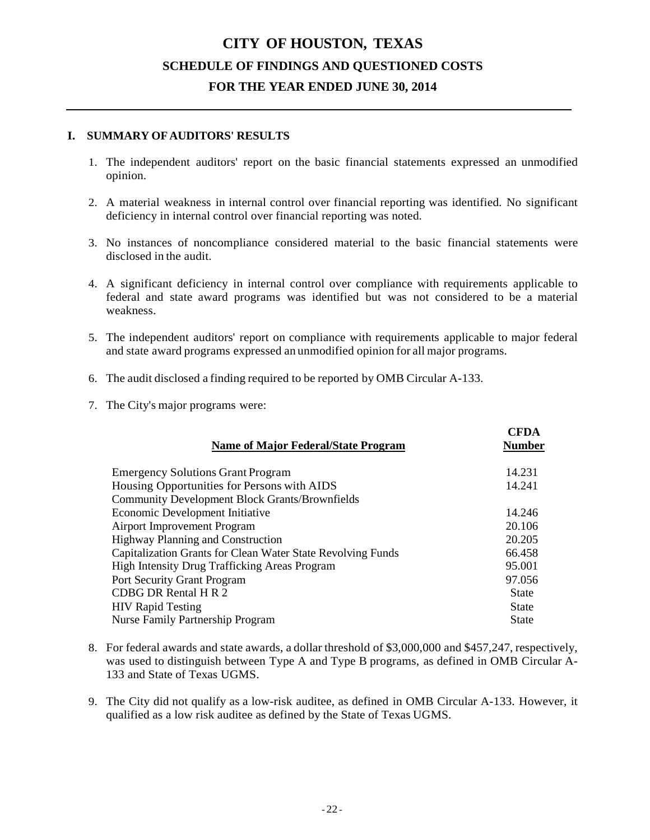### **CITY OF HOUSTON, TEXAS SCHEDULE OF FINDINGS AND QUESTIONED COSTS FOR THE YEAR ENDED JUNE 30, 2014**

#### **I. SUMMARY OF AUDITORS' RESULTS**

- 1. The independent auditors' report on the basic financial statements expressed an unmodified opinion.
- 2. A material weakness in internal control over financial reporting was identified. No significant deficiency in internal control over financial reporting was noted.
- 3. No instances of noncompliance considered material to the basic financial statements were disclosed in the audit.
- 4. A significant deficiency in internal control over compliance with requirements applicable to federal and state award programs was identified but was not considered to be a material weakness.
- 5. The independent auditors' report on compliance with requirements applicable to major federal and state award programs expressed an unmodified opinion for all major programs.
- 6. The audit disclosed a finding required to be reported by OMB Circular A-133.
- 7. The City's major programs were:

| <b>CFDA</b><br><b>Name of Major Federal/State Program</b><br><b>Number</b> |  |
|----------------------------------------------------------------------------|--|
| 14.231<br><b>Emergency Solutions Grant Program</b>                         |  |
| Housing Opportunities for Persons with AIDS<br>14.241                      |  |
| <b>Community Development Block Grants/Brownfields</b>                      |  |
| <b>Economic Development Initiative</b><br>14.246                           |  |
| 20.106<br><b>Airport Improvement Program</b>                               |  |
| <b>Highway Planning and Construction</b><br>20.205                         |  |
| Capitalization Grants for Clean Water State Revolving Funds<br>66.458      |  |
| High Intensity Drug Trafficking Areas Program<br>95.001                    |  |
| <b>Port Security Grant Program</b><br>97.056                               |  |
| CDBG DR Rental H R 2<br><b>State</b>                                       |  |
| <b>HIV Rapid Testing</b><br><b>State</b>                                   |  |
| <b>Nurse Family Partnership Program</b><br>State                           |  |

- 8. For federal awards and state awards, a dollar threshold of \$3,000,000 and \$457,247, respectively, was used to distinguish between Type A and Type B programs, as defined in OMB Circular A-133 and State of Texas UGMS.
- 9. The City did not qualify as a low-risk auditee, as defined in OMB Circular A-133. However, it qualified as a low risk auditee as defined by the State of Texas UGMS.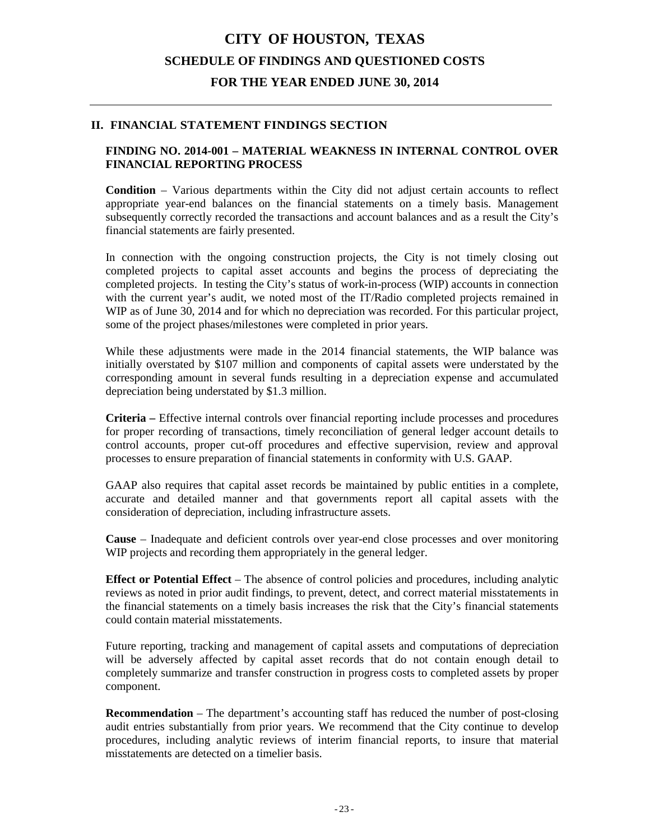### **CITY OF HOUSTON, TEXAS SCHEDULE OF FINDINGS AND QUESTIONED COSTS FOR THE YEAR ENDED JUNE 30, 2014**

#### **II. FINANCIAL STATEMENT FINDINGS SECTION**

#### **FINDING NO. 2014-001 – MATERIAL WEAKNESS IN INTERNAL CONTROL OVER FINANCIAL REPORTING PROCESS**

**Condition** – Various departments within the City did not adjust certain accounts to reflect appropriate year-end balances on the financial statements on a timely basis. Management subsequently correctly recorded the transactions and account balances and as a result the City's financial statements are fairly presented.

In connection with the ongoing construction projects, the City is not timely closing out completed projects to capital asset accounts and begins the process of depreciating the completed projects. In testing the City's status of work-in-process (WIP) accounts in connection with the current year's audit, we noted most of the IT/Radio completed projects remained in WIP as of June 30, 2014 and for which no depreciation was recorded. For this particular project, some of the project phases/milestones were completed in prior years.

While these adjustments were made in the 2014 financial statements, the WIP balance was initially overstated by \$107 million and components of capital assets were understated by the corresponding amount in several funds resulting in a depreciation expense and accumulated depreciation being understated by \$1.3 million.

**Criteria –** Effective internal controls over financial reporting include processes and procedures for proper recording of transactions, timely reconciliation of general ledger account details to control accounts, proper cut-off procedures and effective supervision, review and approval processes to ensure preparation of financial statements in conformity with U.S. GAAP.

GAAP also requires that capital asset records be maintained by public entities in a complete, accurate and detailed manner and that governments report all capital assets with the consideration of depreciation, including infrastructure assets.

**Cause** – Inadequate and deficient controls over year-end close processes and over monitoring WIP projects and recording them appropriately in the general ledger.

**Effect or Potential Effect** – The absence of control policies and procedures, including analytic reviews as noted in prior audit findings, to prevent, detect, and correct material misstatements in the financial statements on a timely basis increases the risk that the City's financial statements could contain material misstatements.

Future reporting, tracking and management of capital assets and computations of depreciation will be adversely affected by capital asset records that do not contain enough detail to completely summarize and transfer construction in progress costs to completed assets by proper component.

**Recommendation** – The department's accounting staff has reduced the number of post-closing audit entries substantially from prior years. We recommend that the City continue to develop procedures, including analytic reviews of interim financial reports, to insure that material misstatements are detected on a timelier basis.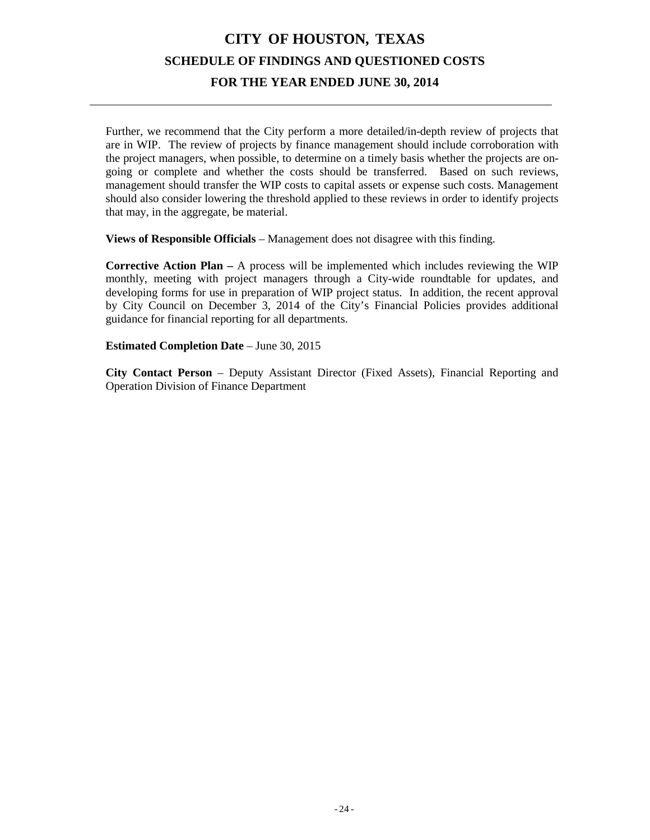## **CITY OF HOUSTON, TEXAS SCHEDULE OF FINDINGS AND QUESTIONED COSTS FOR THE YEAR ENDED JUNE 30, 2014**

Further, we recommend that the City perform a more detailed/in-depth review of projects that are in WIP. The review of projects by finance management should include corroboration with the project managers, when possible, to determine on a timely basis whether the projects are ongoing or complete and whether the costs should be transferred. Based on such reviews, management should transfer the WIP costs to capital assets or expense such costs. Management should also consider lowering the threshold applied to these reviews in order to identify projects that may, in the aggregate, be material.

**Views of Responsible Officials** – Management does not disagree with this finding.

**Corrective Action Plan –** A process will be implemented which includes reviewing the WIP monthly, meeting with project managers through a City-wide roundtable for updates, and developing forms for use in preparation of WIP project status. In addition, the recent approval by City Council on December 3, 2014 of the City's Financial Policies provides additional guidance for financial reporting for all departments.

**Estimated Completion Date** – June 30, 2015

**City Contact Person** – Deputy Assistant Director (Fixed Assets), Financial Reporting and Operation Division of Finance Department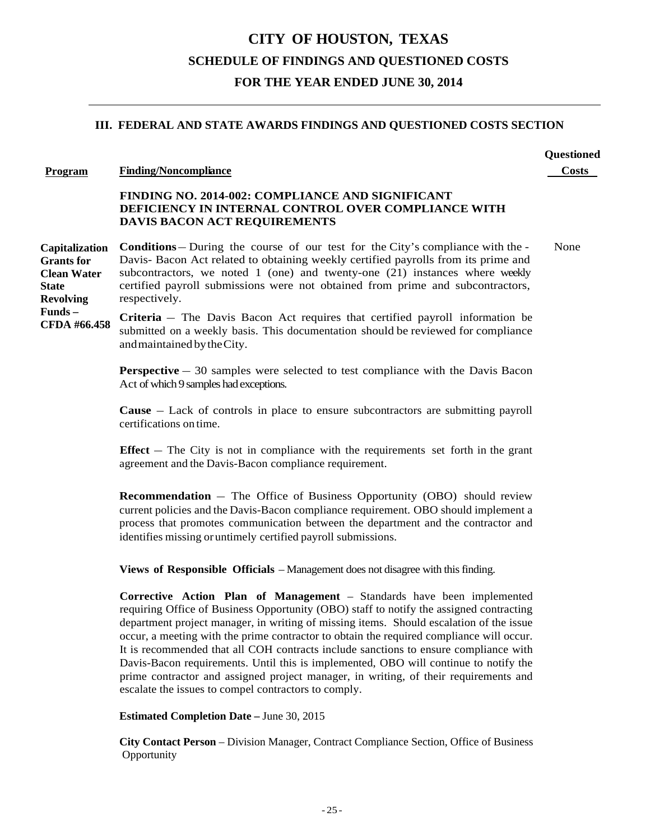### **CITY OF HOUSTON, TEXAS SCHEDULE OF FINDINGS AND QUESTIONED COSTS FOR THE YEAR ENDED JUNE 30, 2014**

**Questioned**

#### **III. FEDERAL AND STATE AWARDS FINDINGS AND QUESTIONED COSTS SECTION**

#### **Program Finding/Noncompliance Costs**

#### **FINDING NO. 2014-002: COMPLIANCE AND SIGNIFICANT DEFICIENCY IN INTERNAL CONTROL OVER COMPLIANCE WITH DAVIS BACON ACT REQUIREMENTS**

**Capitalization Grants for Clean Water State Revolving Conditions** – During the course of our test for the City's compliance with the - None Davis- Bacon Act related to obtaining weekly certified payrolls from its prime and subcontractors, we noted 1 (one) and twenty-one (21) instances where weekly certified payroll submissions were not obtained from prime and subcontractors, respectively.

**Funds – CFDA #66.458**

**Criteria** – The Davis Bacon Act requires that certified payroll information be submitted on a weekly basis. This documentation should be reviewed for compliance andmaintained bytheCity.

**Perspective** – 30 samples were selected to test compliance with the Davis Bacon Act of which 9 samples had exceptions.

**Cause** – Lack of controls in place to ensure subcontractors are submitting payroll certifications on time.

**Effect** – The City is not in compliance with the requirements set forth in the grant agreement and the Davis-Bacon compliance requirement.

**Recommendation** – The Office of Business Opportunity (OBO) should review current policies and the Davis-Bacon compliance requirement. OBO should implement a process that promotes communication between the department and the contractor and identifies missing or untimely certified payroll submissions.

**Views of Responsible Officials** – Management does not disagree with this finding.

**Corrective Action Plan of Management** – Standards have been implemented requiring Office of Business Opportunity (OBO) staff to notify the assigned contracting department project manager, in writing of missing items. Should escalation of the issue occur, a meeting with the prime contractor to obtain the required compliance will occur. It is recommended that all COH contracts include sanctions to ensure compliance with Davis-Bacon requirements. Until this is implemented, OBO will continue to notify the prime contractor and assigned project manager, in writing, of their requirements and escalate the issues to compel contractors to comply.

**Estimated Completion Date –** June 30, 2015

**City Contact Person** – Division Manager, Contract Compliance Section, Office of Business **Opportunity**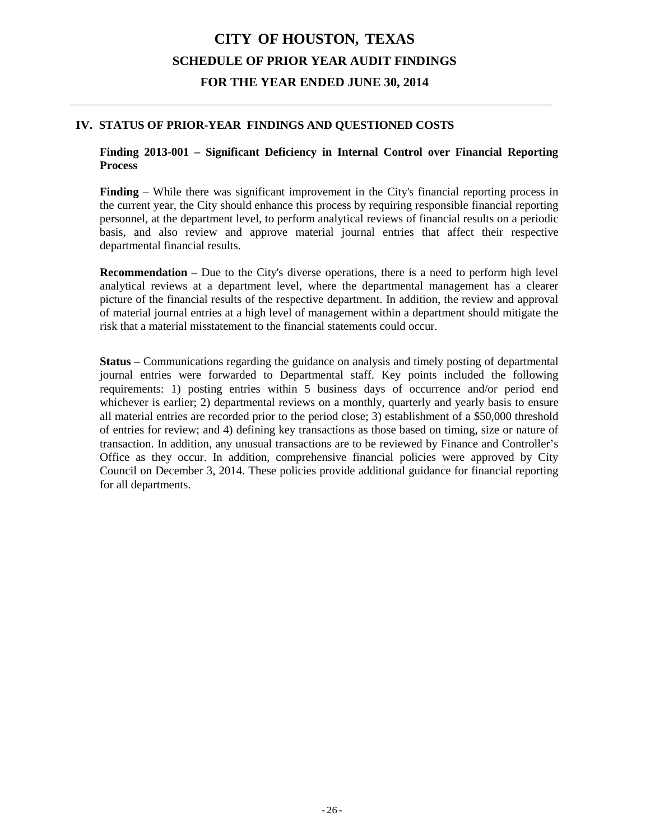#### **IV. STATUS OF PRIOR-YEAR FINDINGS AND QUESTIONED COSTS**

#### **Finding 2013-001 – Significant Deficiency in Internal Control over Financial Reporting Process**

**Finding** – While there was significant improvement in the City's financial reporting process in the current year, the City should enhance this process by requiring responsible financial reporting personnel, at the department level, to perform analytical reviews of financial results on a periodic basis, and also review and approve material journal entries that affect their respective departmental financial results.

**Recommendation** – Due to the City's diverse operations, there is a need to perform high level analytical reviews at a department level, where the departmental management has a clearer picture of the financial results of the respective department. In addition, the review and approval of material journal entries at a high level of management within a department should mitigate the risk that a material misstatement to the financial statements could occur.

**Status** – Communications regarding the guidance on analysis and timely posting of departmental journal entries were forwarded to Departmental staff. Key points included the following requirements: 1) posting entries within 5 business days of occurrence and/or period end whichever is earlier; 2) departmental reviews on a monthly, quarterly and yearly basis to ensure all material entries are recorded prior to the period close; 3) establishment of a \$50,000 threshold of entries for review; and 4) defining key transactions as those based on timing, size or nature of transaction. In addition, any unusual transactions are to be reviewed by Finance and Controller's Office as they occur. In addition, comprehensive financial policies were approved by City Council on December 3, 2014. These policies provide additional guidance for financial reporting for all departments.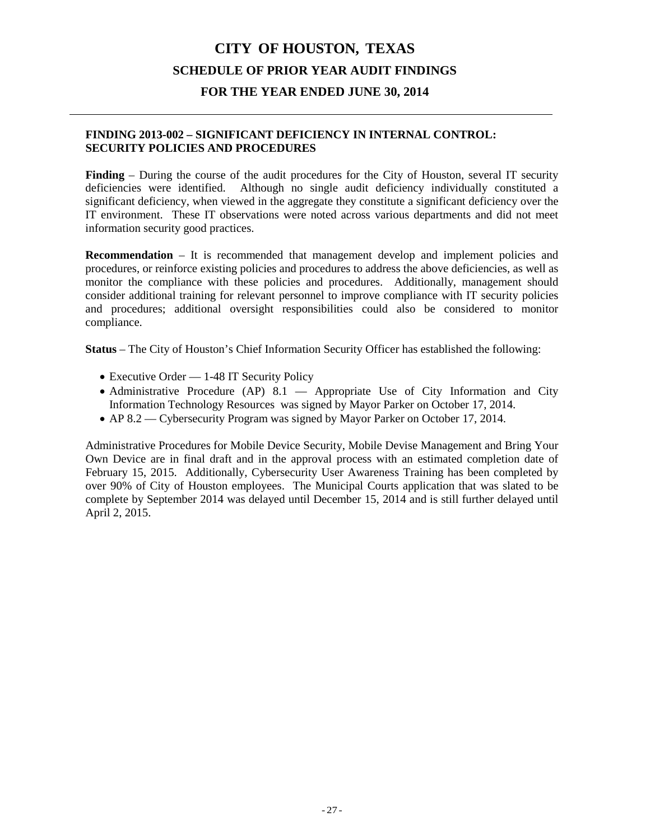#### **FINDING 2013-002 – SIGNIFICANT DEFICIENCY IN INTERNAL CONTROL: SECURITY POLICIES AND PROCEDURES**

**Finding** – During the course of the audit procedures for the City of Houston, several IT security deficiencies were identified. Although no single audit deficiency individually constituted a significant deficiency, when viewed in the aggregate they constitute a significant deficiency over the IT environment. These IT observations were noted across various departments and did not meet information security good practices.

**Recommendation** – It is recommended that management develop and implement policies and procedures, or reinforce existing policies and procedures to address the above deficiencies, as well as monitor the compliance with these policies and procedures. Additionally, management should consider additional training for relevant personnel to improve compliance with IT security policies and procedures; additional oversight responsibilities could also be considered to monitor compliance.

**Status** – The City of Houston's Chief Information Security Officer has established the following:

- Executive Order 1-48 IT Security Policy
- Administrative Procedure (AP) 8.1 Appropriate Use of City Information and City Information Technology Resources was signed by Mayor Parker on October 17, 2014.
- AP 8.2 Cybersecurity Program was signed by Mayor Parker on October 17, 2014.

Administrative Procedures for Mobile Device Security, Mobile Devise Management and Bring Your Own Device are in final draft and in the approval process with an estimated completion date of February 15, 2015. Additionally, Cybersecurity User Awareness Training has been completed by over 90% of City of Houston employees. The Municipal Courts application that was slated to be complete by September 2014 was delayed until December 15, 2014 and is still further delayed until April 2, 2015.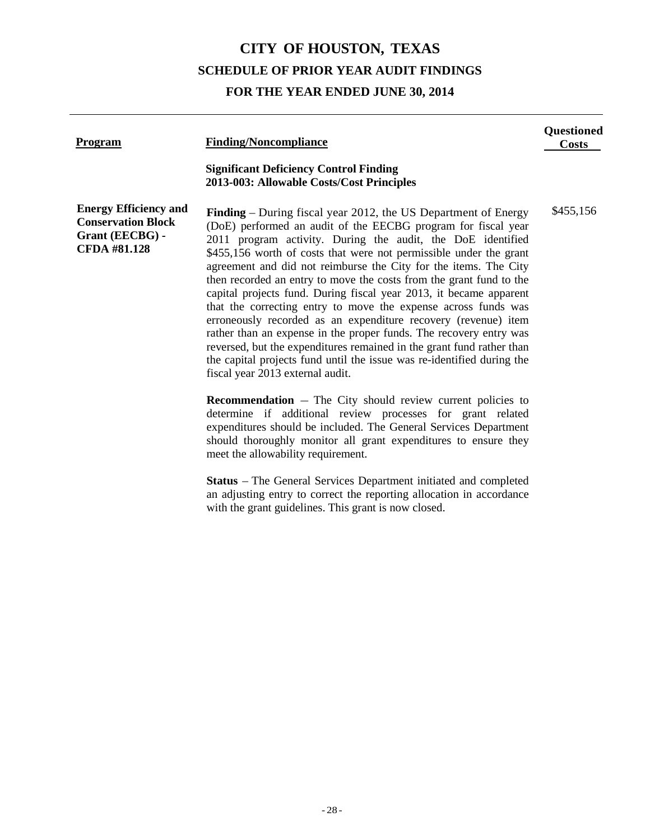| <b>Program</b>                                                                                      | <b>Finding/Noncompliance</b>                                                                                                                                                                                                                                                                                                                                                                                                                                                                                                                                                                                                                                                                                                                                                                                                                                                                  | <b>Questioned</b><br>Costs |
|-----------------------------------------------------------------------------------------------------|-----------------------------------------------------------------------------------------------------------------------------------------------------------------------------------------------------------------------------------------------------------------------------------------------------------------------------------------------------------------------------------------------------------------------------------------------------------------------------------------------------------------------------------------------------------------------------------------------------------------------------------------------------------------------------------------------------------------------------------------------------------------------------------------------------------------------------------------------------------------------------------------------|----------------------------|
|                                                                                                     | <b>Significant Deficiency Control Finding</b><br>2013-003: Allowable Costs/Cost Principles                                                                                                                                                                                                                                                                                                                                                                                                                                                                                                                                                                                                                                                                                                                                                                                                    |                            |
| <b>Energy Efficiency and</b><br><b>Conservation Block</b><br>Grant (EECBG) -<br><b>CFDA #81.128</b> | <b>Finding</b> – During fiscal year 2012, the US Department of Energy<br>(DoE) performed an audit of the EECBG program for fiscal year<br>2011 program activity. During the audit, the DoE identified<br>\$455,156 worth of costs that were not permissible under the grant<br>agreement and did not reimburse the City for the items. The City<br>then recorded an entry to move the costs from the grant fund to the<br>capital projects fund. During fiscal year 2013, it became apparent<br>that the correcting entry to move the expense across funds was<br>erroneously recorded as an expenditure recovery (revenue) item<br>rather than an expense in the proper funds. The recovery entry was<br>reversed, but the expenditures remained in the grant fund rather than<br>the capital projects fund until the issue was re-identified during the<br>fiscal year 2013 external audit. | \$455,156                  |
|                                                                                                     | <b>Recommendation</b> $-$ The City should review current policies to<br>determine if additional review processes for grant related<br>expenditures should be included. The General Services Department<br>should thoroughly monitor all grant expenditures to ensure they<br>meet the allowability requirement.                                                                                                                                                                                                                                                                                                                                                                                                                                                                                                                                                                               |                            |
|                                                                                                     | <b>Status</b> – The General Services Department initiated and completed<br>an adjusting entry to correct the reporting allocation in accordance<br>with the grant guidelines. This grant is now closed.                                                                                                                                                                                                                                                                                                                                                                                                                                                                                                                                                                                                                                                                                       |                            |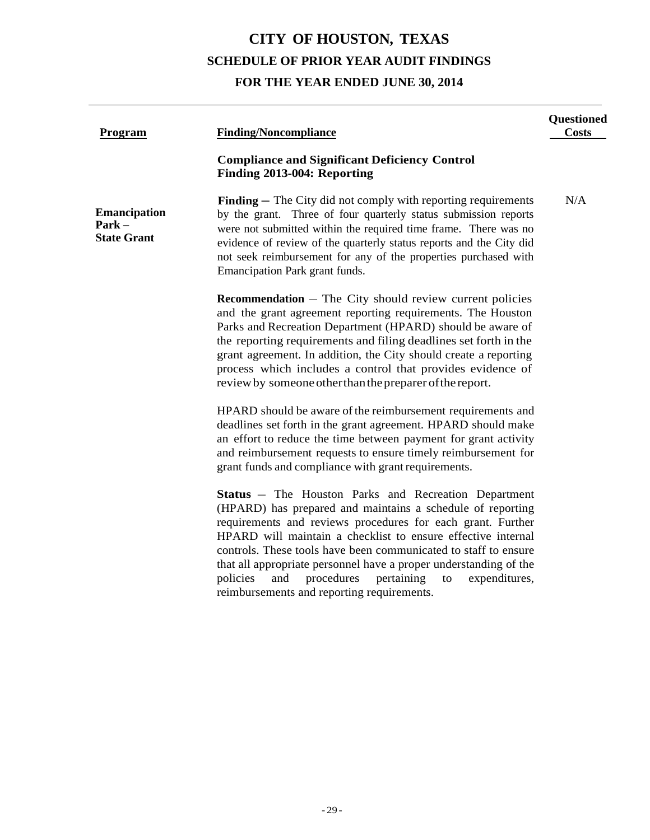| Program                                                        | <b>Finding/Noncompliance</b>                                                                                                                                                                                                                                                                                                                                                                                                                                                                                         | <b>Questioned</b><br><b>Costs</b> |
|----------------------------------------------------------------|----------------------------------------------------------------------------------------------------------------------------------------------------------------------------------------------------------------------------------------------------------------------------------------------------------------------------------------------------------------------------------------------------------------------------------------------------------------------------------------------------------------------|-----------------------------------|
|                                                                | <b>Compliance and Significant Deficiency Control</b><br>Finding 2013-004: Reporting                                                                                                                                                                                                                                                                                                                                                                                                                                  |                                   |
| <b>Emancipation</b><br>$\textbf{Park} -$<br><b>State Grant</b> | <b>Finding</b> – The City did not comply with reporting requirements<br>by the grant. Three of four quarterly status submission reports<br>were not submitted within the required time frame. There was no<br>evidence of review of the quarterly status reports and the City did<br>not seek reimbursement for any of the properties purchased with<br>Emancipation Park grant funds.                                                                                                                               | N/A                               |
|                                                                | <b>Recommendation</b> $-$ The City should review current policies<br>and the grant agreement reporting requirements. The Houston<br>Parks and Recreation Department (HPARD) should be aware of<br>the reporting requirements and filing deadlines set forth in the<br>grant agreement. In addition, the City should create a reporting<br>process which includes a control that provides evidence of<br>review by someone other than the preparer of the report.                                                     |                                   |
|                                                                | HPARD should be aware of the reimbursement requirements and<br>deadlines set forth in the grant agreement. HPARD should make<br>an effort to reduce the time between payment for grant activity<br>and reimbursement requests to ensure timely reimbursement for<br>grant funds and compliance with grant requirements.                                                                                                                                                                                              |                                   |
|                                                                | <b>Status</b> – The Houston Parks and Recreation Department<br>(HPARD) has prepared and maintains a schedule of reporting<br>requirements and reviews procedures for each grant. Further<br>HPARD will maintain a checklist to ensure effective internal<br>controls. These tools have been communicated to staff to ensure<br>that all appropriate personnel have a proper understanding of the<br>policies<br>procedures<br>pertaining<br>expenditures,<br>and<br>to<br>reimbursements and reporting requirements. |                                   |